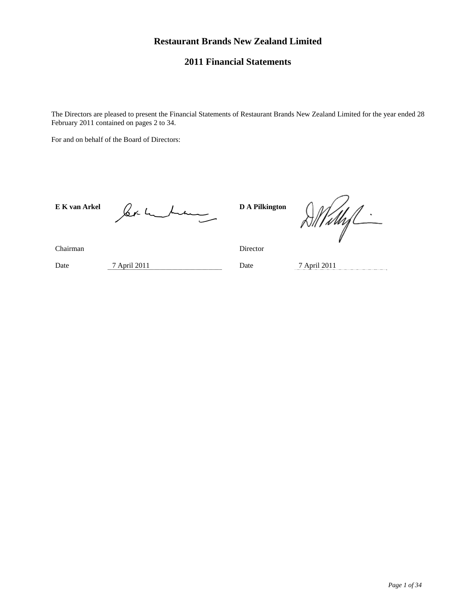# **Restaurant Brands New Zealand Limited**

# **2011 Financial Statements**

The Directors are pleased to present the Financial Statements of Restaurant Brands New Zealand Limited for the year ended 28 February 2011 contained on pages 2 to 34.

For and on behalf of the Board of Directors:

**E K van Arkel** 

ler un han

**D A Pilkington** 

 $\mathcal{A}$ Mahif $\angle$ 

Chairman Director

Date 7 April 2011 Date 7 April 2011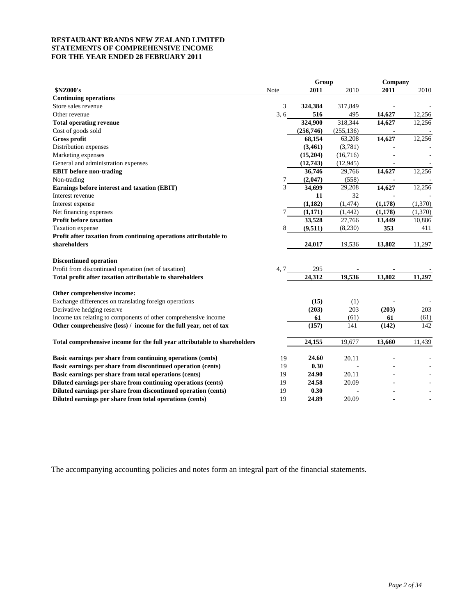## **RESTAURANT BRANDS NEW ZEALAND LIMITED STATEMENTS OF COMPREHENSIVE INCOME FOR THE YEAR ENDED 28 FEBRUARY 2011**

|                                                                           |      | Company   |            |          |         |
|---------------------------------------------------------------------------|------|-----------|------------|----------|---------|
| <b>\$NZ000's</b>                                                          | Note | 2011      | 2010       | 2011     | 2010    |
| <b>Continuing operations</b>                                              |      |           |            |          |         |
| Store sales revenue                                                       | 3    | 324,384   | 317,849    |          |         |
| Other revenue                                                             | 3, 6 | 516       | 495        | 14,627   | 12,256  |
| <b>Total operating revenue</b>                                            |      | 324,900   | 318,344    | 14,627   | 12,256  |
| Cost of goods sold                                                        |      | (256,746) | (255, 136) |          |         |
| Gross profit                                                              |      | 68,154    | 63,208     | 14,627   | 12,256  |
| Distribution expenses                                                     |      | (3,461)   | (3,781)    |          |         |
| Marketing expenses                                                        |      | (15,204)  | (16,716)   |          | $\sim$  |
| General and administration expenses                                       |      | (12,743)  | (12, 945)  |          |         |
| <b>EBIT</b> before non-trading                                            |      | 36,746    | 29,766     | 14,627   | 12,256  |
| Non-trading                                                               | 7    | (2,047)   | (558)      |          |         |
| Earnings before interest and taxation (EBIT)                              | 3    | 34,699    | 29,208     | 14,627   | 12,256  |
| Interest revenue                                                          |      | 11        | 32         |          |         |
| Interest expense                                                          |      | (1, 182)  | (1, 474)   | (1,178)  | (1,370) |
| Net financing expenses                                                    | 7    | (1,171)   | (1, 442)   | (1, 178) | (1,370) |
| <b>Profit before taxation</b>                                             |      | 33,528    | 27,766     | 13,449   | 10,886  |
| Taxation expense                                                          | 8    | (9,511)   | (8,230)    | 353      | 411     |
| Profit after taxation from continuing operations attributable to          |      |           |            |          |         |
| shareholders                                                              |      | 24,017    | 19,536     | 13,802   | 11,297  |
| <b>Discontinued operation</b>                                             |      |           |            |          |         |
| Profit from discontinued operation (net of taxation)                      | 4, 7 | 295       |            |          |         |
| Total profit after taxation attributable to shareholders                  |      | 24,312    | 19,536     | 13,802   | 11,297  |
| Other comprehensive income:                                               |      |           |            |          |         |
| Exchange differences on translating foreign operations                    |      | (15)      | (1)        |          |         |
| Derivative hedging reserve                                                |      | (203)     | 203        | (203)    | 203     |
| Income tax relating to components of other comprehensive income           |      | 61        | (61)       | 61       | (61)    |
| Other comprehensive (loss) / income for the full year, net of tax         |      | (157)     | 141        | (142)    | 142     |
| Total comprehensive income for the full year attributable to shareholders |      | 24,155    | 19,677     | 13,660   | 11,439  |
|                                                                           |      |           |            |          |         |
| Basic earnings per share from continuing operations (cents)               | 19   | 24.60     | 20.11      |          |         |
| Basic earnings per share from discontinued operation (cents)              | 19   | 0.30      |            |          |         |
| Basic earnings per share from total operations (cents)                    | 19   | 24.90     | 20.11      |          |         |
| Diluted earnings per share from continuing operations (cents)             | 19   | 24.58     | 20.09      |          |         |
| Diluted earnings per share from discontinued operation (cents)            | 19   | 0.30      |            |          |         |
| Diluted earnings per share from total operations (cents)                  | 19   | 24.89     | 20.09      |          | $\sim$  |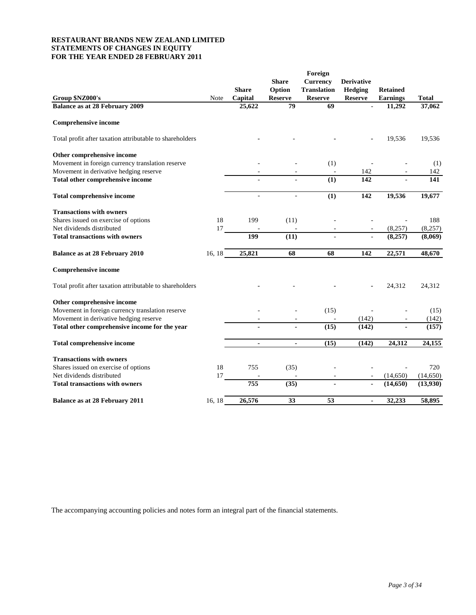## **RESTAURANT BRANDS NEW ZEALAND LIMITED STATEMENTS OF CHANGES IN EQUITY FOR THE YEAR ENDED 28 FEBRUARY 2011**

|                                                          | Note   | <b>Share</b>      | <b>Share</b><br>Option<br><b>Reserve</b> | Foreign<br><b>Currency</b><br><b>Translation</b><br><b>Reserve</b> | <b>Derivative</b><br>Hedging<br><b>Reserve</b> | <b>Retained</b>           | Total     |
|----------------------------------------------------------|--------|-------------------|------------------------------------------|--------------------------------------------------------------------|------------------------------------------------|---------------------------|-----------|
| Group \$NZ000's<br><b>Balance as at 28 February 2009</b> |        | Capital<br>25,622 | 79                                       | 69                                                                 |                                                | <b>Earnings</b><br>11,292 | 37,062    |
|                                                          |        |                   |                                          |                                                                    |                                                |                           |           |
| <b>Comprehensive income</b>                              |        |                   |                                          |                                                                    |                                                |                           |           |
| Total profit after taxation attributable to shareholders |        |                   |                                          |                                                                    |                                                | 19,536                    | 19,536    |
| Other comprehensive income                               |        |                   |                                          |                                                                    |                                                |                           |           |
| Movement in foreign currency translation reserve         |        |                   |                                          | (1)                                                                |                                                |                           | (1)       |
| Movement in derivative hedging reserve                   |        | $\overline{a}$    | $\overline{\phantom{a}}$                 | $\overline{\phantom{a}}$                                           | 142                                            | $\overline{\phantom{a}}$  | 142       |
| Total other comprehensive income                         |        |                   | ÷.                                       | (1)                                                                | 142                                            |                           | 141       |
| <b>Total comprehensive income</b>                        |        |                   |                                          | (1)                                                                | 142                                            | 19,536                    | 19,677    |
| <b>Transactions with owners</b>                          |        |                   |                                          |                                                                    |                                                |                           |           |
| Shares issued on exercise of options                     | 18     | 199               | (11)                                     |                                                                    |                                                |                           | 188       |
| Net dividends distributed                                | 17     |                   |                                          |                                                                    |                                                | (8,257)                   | (8,257)   |
| <b>Total transactions with owners</b>                    |        | 199               | (11)                                     |                                                                    |                                                | (8,257)                   | (8,069)   |
| Balance as at 28 February 2010                           | 16, 18 | 25,821            | 68                                       | 68                                                                 | 142                                            | 22,571                    | 48,670    |
| <b>Comprehensive income</b>                              |        |                   |                                          |                                                                    |                                                |                           |           |
| Total profit after taxation attributable to shareholders |        |                   |                                          |                                                                    |                                                | 24,312                    | 24,312    |
| Other comprehensive income                               |        |                   |                                          |                                                                    |                                                |                           |           |
| Movement in foreign currency translation reserve         |        |                   |                                          | (15)                                                               |                                                |                           | (15)      |
| Movement in derivative hedging reserve                   |        |                   |                                          |                                                                    | (142)                                          |                           | (142)     |
| Total other comprehensive income for the year            |        |                   | $\blacksquare$                           | (15)                                                               | (142)                                          |                           | (157)     |
| <b>Total comprehensive income</b>                        |        |                   |                                          | (15)                                                               | (142)                                          | 24,312                    | 24,155    |
| <b>Transactions with owners</b>                          |        |                   |                                          |                                                                    |                                                |                           |           |
| Shares issued on exercise of options                     | 18     | 755               | (35)                                     |                                                                    |                                                |                           | 720       |
| Net dividends distributed                                | 17     |                   |                                          |                                                                    |                                                | (14, 650)                 | (14, 650) |
| <b>Total transactions with owners</b>                    |        | 755               | (35)                                     |                                                                    |                                                | (14, 650)                 | (13,930)  |
| Balance as at 28 February 2011                           | 16, 18 | 26,576            | 33                                       | 53                                                                 | $\blacksquare$                                 | 32,233                    | 58,895    |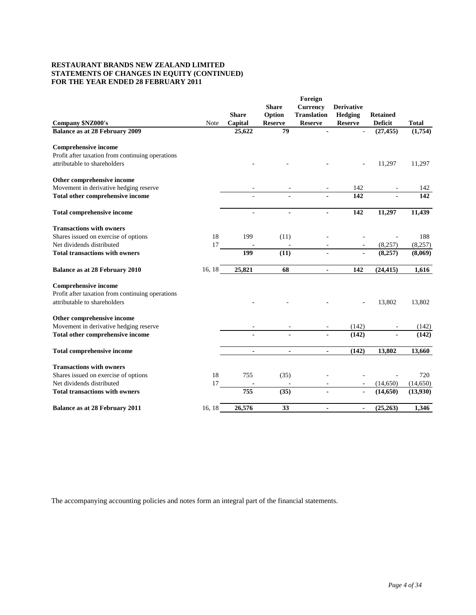# **RESTAURANT BRANDS NEW ZEALAND LIMITED STATEMENTS OF CHANGES IN EQUITY (CONTINUED) FOR THE YEAR ENDED 28 FEBRUARY 2011**

|                                                  |        |                |                | Foreign            |                   |                 |              |
|--------------------------------------------------|--------|----------------|----------------|--------------------|-------------------|-----------------|--------------|
|                                                  |        |                | <b>Share</b>   | <b>Currency</b>    | <b>Derivative</b> |                 |              |
|                                                  |        | <b>Share</b>   | Option         | <b>Translation</b> | Hedging           | <b>Retained</b> |              |
| Company \$NZ000's                                | Note   | Capital        | <b>Reserve</b> | <b>Reserve</b>     | <b>Reserve</b>    | <b>Deficit</b>  | <b>Total</b> |
| <b>Balance as at 28 February 2009</b>            |        | 25,622         | 79             | $\blacksquare$     | $\sim$            | (27, 455)       | (1,754)      |
| <b>Comprehensive income</b>                      |        |                |                |                    |                   |                 |              |
| Profit after taxation from continuing operations |        |                |                |                    |                   |                 |              |
| attributable to shareholders                     |        |                |                |                    |                   | 11,297          | 11,297       |
| Other comprehensive income                       |        |                |                |                    |                   |                 |              |
| Movement in derivative hedging reserve           |        |                |                |                    | 142               |                 | 142          |
| Total other comprehensive income                 |        |                |                |                    | 142               |                 | 142          |
| <b>Total comprehensive income</b>                |        |                | $\blacksquare$ | $\blacksquare$     | 142               | 11,297          | 11,439       |
| <b>Transactions with owners</b>                  |        |                |                |                    |                   |                 |              |
| Shares issued on exercise of options             | 18     | 199            | (11)           |                    |                   |                 | 188          |
| Net dividends distributed                        | 17     |                |                |                    |                   | (8,257)         | (8,257)      |
| <b>Total transactions with owners</b>            |        | 199            | (11)           |                    |                   | (8,257)         | (8,069)      |
| Balance as at 28 February 2010                   | 16, 18 | 25,821         | 68             | $\blacksquare$     | 142               | (24, 415)       | 1,616        |
| <b>Comprehensive income</b>                      |        |                |                |                    |                   |                 |              |
| Profit after taxation from continuing operations |        |                |                |                    |                   |                 |              |
| attributable to shareholders                     |        |                |                |                    |                   | 13,802          | 13,802       |
| Other comprehensive income                       |        |                |                |                    |                   |                 |              |
| Movement in derivative hedging reserve           |        |                |                |                    | (142)             |                 | (142)        |
| Total other comprehensive income                 |        | $\blacksquare$ |                | $\blacksquare$     | (142)             |                 | (142)        |
| <b>Total comprehensive income</b>                |        | $\blacksquare$ | $\overline{a}$ | $\blacksquare$     | (142)             | 13,802          | 13,660       |
| <b>Transactions with owners</b>                  |        |                |                |                    |                   |                 |              |
| Shares issued on exercise of options             | 18     | 755            | (35)           |                    |                   |                 | 720          |
| Net dividends distributed                        | 17     |                |                |                    |                   | (14, 650)       | (14,650)     |
| <b>Total transactions with owners</b>            |        | 755            | (35)           |                    |                   | (14, 650)       | (13,930)     |
|                                                  |        |                |                |                    |                   |                 |              |
| Balance as at 28 February 2011                   | 16, 18 | 26,576         | 33             | $\blacksquare$     | $\blacksquare$    | (25, 263)       | 1,346        |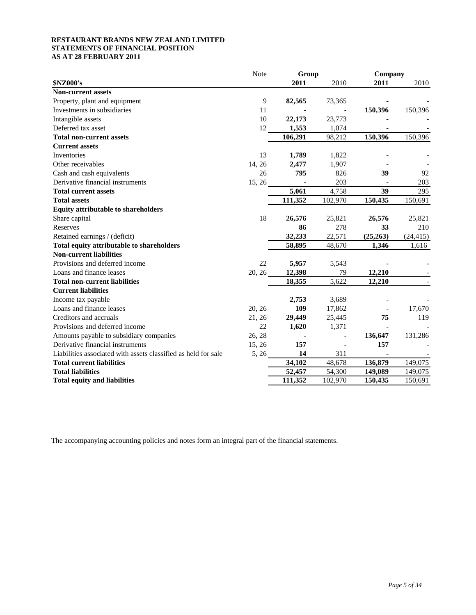## **RESTAURANT BRANDS NEW ZEALAND LIMITED STATEMENTS OF FINANCIAL POSITION AS AT 28 FEBRUARY 2011**

|                                                                | Note   | Group   |         | Company   |           |
|----------------------------------------------------------------|--------|---------|---------|-----------|-----------|
| \$NZ000's                                                      |        | 2011    | 2010    | 2011      | 2010      |
| <b>Non-current assets</b>                                      |        |         |         |           |           |
| Property, plant and equipment                                  | 9      | 82,565  | 73,365  |           |           |
| Investments in subsidiaries                                    | 11     |         |         | 150,396   | 150,396   |
| Intangible assets                                              | 10     | 22,173  | 23,773  |           |           |
| Deferred tax asset                                             | 12     | 1,553   | 1,074   |           |           |
| <b>Total non-current assets</b>                                |        | 106,291 | 98,212  | 150,396   | 150,396   |
| <b>Current assets</b>                                          |        |         |         |           |           |
| Inventories                                                    | 13     | 1,789   | 1,822   |           |           |
| Other receivables                                              | 14, 26 | 2,477   | 1,907   |           |           |
| Cash and cash equivalents                                      | 26     | 795     | 826     | 39        | 92        |
| Derivative financial instruments                               | 15, 26 |         | 203     |           | 203       |
| <b>Total current assets</b>                                    |        | 5,061   | 4,758   | 39        | 295       |
| <b>Total assets</b>                                            |        | 111,352 | 102,970 | 150,435   | 150,691   |
| <b>Equity attributable to shareholders</b>                     |        |         |         |           |           |
| Share capital                                                  | 18     | 26,576  | 25,821  | 26,576    | 25,821    |
| Reserves                                                       |        | 86      | 278     | 33        | 210       |
| Retained earnings / (deficit)                                  |        | 32,233  | 22,571  | (25, 263) | (24, 415) |
| Total equity attributable to shareholders                      |        | 58,895  | 48,670  | 1,346     | 1,616     |
| <b>Non-current liabilities</b>                                 |        |         |         |           |           |
| Provisions and deferred income                                 | 22     | 5,957   | 5,543   |           |           |
| Loans and finance leases                                       | 20, 26 | 12,398  | 79      | 12,210    |           |
| <b>Total non-current liabilities</b>                           |        | 18,355  | 5,622   | 12,210    |           |
| <b>Current liabilities</b>                                     |        |         |         |           |           |
| Income tax payable                                             |        | 2,753   | 3,689   |           |           |
| Loans and finance leases                                       | 20, 26 | 109     | 17,862  |           | 17,670    |
| Creditors and accruals                                         | 21, 26 | 29,449  | 25,445  | 75        | 119       |
| Provisions and deferred income                                 | 22     | 1,620   | 1,371   |           |           |
| Amounts payable to subsidiary companies                        | 26, 28 |         |         | 136,647   | 131,286   |
| Derivative financial instruments                               | 15, 26 | 157     |         | 157       |           |
| Liabilities associated with assets classified as held for sale | 5, 26  | 14      | 311     |           |           |
| <b>Total current liabilities</b>                               |        | 34,102  | 48,678  | 136,879   | 149,075   |
| <b>Total liabilities</b>                                       |        | 52,457  | 54,300  | 149,089   | 149,075   |
| <b>Total equity and liabilities</b>                            |        | 111,352 | 102,970 | 150,435   | 150,691   |
|                                                                |        |         |         |           |           |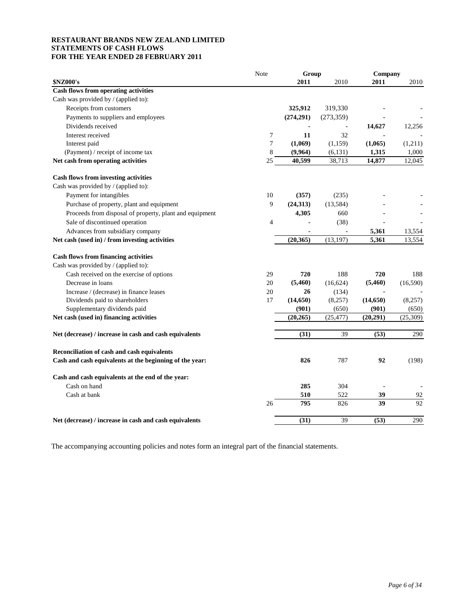## **RESTAURANT BRANDS NEW ZEALAND LIMITED STATEMENTS OF CASH FLOWS FOR THE YEAR ENDED 28 FEBRUARY 2011**

| 2011<br>\$NZ000's<br>2011<br>2010<br>2010<br><b>Cash flows from operating activities</b><br>Cash was provided by / (applied to):<br>Receipts from customers<br>325,912<br>319,330<br>Payments to suppliers and employees<br>(274, 291)<br>(273, 359)<br>Dividends received<br>14,627<br>12,256<br>7<br>32<br>Interest received<br>11<br>7<br>(1,069)<br>(1, 159)<br>(1,065)<br>(1,211)<br>Interest paid<br>(Payment) / receipt of income tax<br>8<br>(9,964)<br>(6, 131)<br>1,315<br>1,000<br>Net cash from operating activities<br>40,599<br>14,877<br>25<br>38,713<br>12,045<br><b>Cash flows from investing activities</b><br>Cash was provided by / (applied to):<br>Payment for intangibles<br>10<br>(357)<br>(235)<br>9<br>Purchase of property, plant and equipment<br>(24, 313)<br>(13, 584)<br>Proceeds from disposal of property, plant and equipment<br>4,305<br>660<br>Sale of discontinued operation<br>(38)<br>4<br>Advances from subsidiary company<br>5,361<br>13,554<br>(20, 365)<br>(13, 197)<br>5,361<br>Net cash (used in) / from investing activities<br>13,554<br><b>Cash flows from financing activities</b><br>Cash was provided by / (applied to):<br>Cash received on the exercise of options<br>29<br>720<br>188<br>720<br>188<br>Decrease in loans<br>20<br>(5,460)<br>(16, 624)<br>(16,590)<br>(5,460)<br>Increase / (decrease) in finance leases<br>20<br>26<br>(134)<br>Dividends paid to shareholders<br>17<br>(14, 650)<br>(8,257)<br>(14, 650)<br>(8,257)<br>Supplementary dividends paid<br>(901)<br>(650)<br>(901)<br>(650)<br>Net cash (used in) financing activities<br>(20, 265)<br>(25, 477)<br>(20, 291)<br>(25,309)<br>(31)<br>(53)<br>Net (decrease) / increase in cash and cash equivalents<br>39<br>290<br>Reconciliation of cash and cash equivalents<br>Cash and cash equivalents at the beginning of the year:<br>787<br>92<br>826<br>(198)<br>Cash and cash equivalents at the end of the year:<br>Cash on hand<br>304<br>285<br>510<br>39<br>Cash at bank<br>522<br>92<br>795<br>39<br>92<br>26<br>826<br>39<br>(53)<br>(31)<br>290<br>Net (decrease) / increase in cash and cash equivalents | Note | Group | Company |  |  |
|-------------------------------------------------------------------------------------------------------------------------------------------------------------------------------------------------------------------------------------------------------------------------------------------------------------------------------------------------------------------------------------------------------------------------------------------------------------------------------------------------------------------------------------------------------------------------------------------------------------------------------------------------------------------------------------------------------------------------------------------------------------------------------------------------------------------------------------------------------------------------------------------------------------------------------------------------------------------------------------------------------------------------------------------------------------------------------------------------------------------------------------------------------------------------------------------------------------------------------------------------------------------------------------------------------------------------------------------------------------------------------------------------------------------------------------------------------------------------------------------------------------------------------------------------------------------------------------------------------------------------------------------------------------------------------------------------------------------------------------------------------------------------------------------------------------------------------------------------------------------------------------------------------------------------------------------------------------------------------------------------------------------------------------------------------------------------------------------------------------------------------------------------|------|-------|---------|--|--|
|                                                                                                                                                                                                                                                                                                                                                                                                                                                                                                                                                                                                                                                                                                                                                                                                                                                                                                                                                                                                                                                                                                                                                                                                                                                                                                                                                                                                                                                                                                                                                                                                                                                                                                                                                                                                                                                                                                                                                                                                                                                                                                                                                 |      |       |         |  |  |
|                                                                                                                                                                                                                                                                                                                                                                                                                                                                                                                                                                                                                                                                                                                                                                                                                                                                                                                                                                                                                                                                                                                                                                                                                                                                                                                                                                                                                                                                                                                                                                                                                                                                                                                                                                                                                                                                                                                                                                                                                                                                                                                                                 |      |       |         |  |  |
|                                                                                                                                                                                                                                                                                                                                                                                                                                                                                                                                                                                                                                                                                                                                                                                                                                                                                                                                                                                                                                                                                                                                                                                                                                                                                                                                                                                                                                                                                                                                                                                                                                                                                                                                                                                                                                                                                                                                                                                                                                                                                                                                                 |      |       |         |  |  |
|                                                                                                                                                                                                                                                                                                                                                                                                                                                                                                                                                                                                                                                                                                                                                                                                                                                                                                                                                                                                                                                                                                                                                                                                                                                                                                                                                                                                                                                                                                                                                                                                                                                                                                                                                                                                                                                                                                                                                                                                                                                                                                                                                 |      |       |         |  |  |
|                                                                                                                                                                                                                                                                                                                                                                                                                                                                                                                                                                                                                                                                                                                                                                                                                                                                                                                                                                                                                                                                                                                                                                                                                                                                                                                                                                                                                                                                                                                                                                                                                                                                                                                                                                                                                                                                                                                                                                                                                                                                                                                                                 |      |       |         |  |  |
|                                                                                                                                                                                                                                                                                                                                                                                                                                                                                                                                                                                                                                                                                                                                                                                                                                                                                                                                                                                                                                                                                                                                                                                                                                                                                                                                                                                                                                                                                                                                                                                                                                                                                                                                                                                                                                                                                                                                                                                                                                                                                                                                                 |      |       |         |  |  |
|                                                                                                                                                                                                                                                                                                                                                                                                                                                                                                                                                                                                                                                                                                                                                                                                                                                                                                                                                                                                                                                                                                                                                                                                                                                                                                                                                                                                                                                                                                                                                                                                                                                                                                                                                                                                                                                                                                                                                                                                                                                                                                                                                 |      |       |         |  |  |
|                                                                                                                                                                                                                                                                                                                                                                                                                                                                                                                                                                                                                                                                                                                                                                                                                                                                                                                                                                                                                                                                                                                                                                                                                                                                                                                                                                                                                                                                                                                                                                                                                                                                                                                                                                                                                                                                                                                                                                                                                                                                                                                                                 |      |       |         |  |  |
|                                                                                                                                                                                                                                                                                                                                                                                                                                                                                                                                                                                                                                                                                                                                                                                                                                                                                                                                                                                                                                                                                                                                                                                                                                                                                                                                                                                                                                                                                                                                                                                                                                                                                                                                                                                                                                                                                                                                                                                                                                                                                                                                                 |      |       |         |  |  |
|                                                                                                                                                                                                                                                                                                                                                                                                                                                                                                                                                                                                                                                                                                                                                                                                                                                                                                                                                                                                                                                                                                                                                                                                                                                                                                                                                                                                                                                                                                                                                                                                                                                                                                                                                                                                                                                                                                                                                                                                                                                                                                                                                 |      |       |         |  |  |
|                                                                                                                                                                                                                                                                                                                                                                                                                                                                                                                                                                                                                                                                                                                                                                                                                                                                                                                                                                                                                                                                                                                                                                                                                                                                                                                                                                                                                                                                                                                                                                                                                                                                                                                                                                                                                                                                                                                                                                                                                                                                                                                                                 |      |       |         |  |  |
|                                                                                                                                                                                                                                                                                                                                                                                                                                                                                                                                                                                                                                                                                                                                                                                                                                                                                                                                                                                                                                                                                                                                                                                                                                                                                                                                                                                                                                                                                                                                                                                                                                                                                                                                                                                                                                                                                                                                                                                                                                                                                                                                                 |      |       |         |  |  |
|                                                                                                                                                                                                                                                                                                                                                                                                                                                                                                                                                                                                                                                                                                                                                                                                                                                                                                                                                                                                                                                                                                                                                                                                                                                                                                                                                                                                                                                                                                                                                                                                                                                                                                                                                                                                                                                                                                                                                                                                                                                                                                                                                 |      |       |         |  |  |
|                                                                                                                                                                                                                                                                                                                                                                                                                                                                                                                                                                                                                                                                                                                                                                                                                                                                                                                                                                                                                                                                                                                                                                                                                                                                                                                                                                                                                                                                                                                                                                                                                                                                                                                                                                                                                                                                                                                                                                                                                                                                                                                                                 |      |       |         |  |  |
|                                                                                                                                                                                                                                                                                                                                                                                                                                                                                                                                                                                                                                                                                                                                                                                                                                                                                                                                                                                                                                                                                                                                                                                                                                                                                                                                                                                                                                                                                                                                                                                                                                                                                                                                                                                                                                                                                                                                                                                                                                                                                                                                                 |      |       |         |  |  |
|                                                                                                                                                                                                                                                                                                                                                                                                                                                                                                                                                                                                                                                                                                                                                                                                                                                                                                                                                                                                                                                                                                                                                                                                                                                                                                                                                                                                                                                                                                                                                                                                                                                                                                                                                                                                                                                                                                                                                                                                                                                                                                                                                 |      |       |         |  |  |
|                                                                                                                                                                                                                                                                                                                                                                                                                                                                                                                                                                                                                                                                                                                                                                                                                                                                                                                                                                                                                                                                                                                                                                                                                                                                                                                                                                                                                                                                                                                                                                                                                                                                                                                                                                                                                                                                                                                                                                                                                                                                                                                                                 |      |       |         |  |  |
|                                                                                                                                                                                                                                                                                                                                                                                                                                                                                                                                                                                                                                                                                                                                                                                                                                                                                                                                                                                                                                                                                                                                                                                                                                                                                                                                                                                                                                                                                                                                                                                                                                                                                                                                                                                                                                                                                                                                                                                                                                                                                                                                                 |      |       |         |  |  |
|                                                                                                                                                                                                                                                                                                                                                                                                                                                                                                                                                                                                                                                                                                                                                                                                                                                                                                                                                                                                                                                                                                                                                                                                                                                                                                                                                                                                                                                                                                                                                                                                                                                                                                                                                                                                                                                                                                                                                                                                                                                                                                                                                 |      |       |         |  |  |
|                                                                                                                                                                                                                                                                                                                                                                                                                                                                                                                                                                                                                                                                                                                                                                                                                                                                                                                                                                                                                                                                                                                                                                                                                                                                                                                                                                                                                                                                                                                                                                                                                                                                                                                                                                                                                                                                                                                                                                                                                                                                                                                                                 |      |       |         |  |  |
|                                                                                                                                                                                                                                                                                                                                                                                                                                                                                                                                                                                                                                                                                                                                                                                                                                                                                                                                                                                                                                                                                                                                                                                                                                                                                                                                                                                                                                                                                                                                                                                                                                                                                                                                                                                                                                                                                                                                                                                                                                                                                                                                                 |      |       |         |  |  |
|                                                                                                                                                                                                                                                                                                                                                                                                                                                                                                                                                                                                                                                                                                                                                                                                                                                                                                                                                                                                                                                                                                                                                                                                                                                                                                                                                                                                                                                                                                                                                                                                                                                                                                                                                                                                                                                                                                                                                                                                                                                                                                                                                 |      |       |         |  |  |
|                                                                                                                                                                                                                                                                                                                                                                                                                                                                                                                                                                                                                                                                                                                                                                                                                                                                                                                                                                                                                                                                                                                                                                                                                                                                                                                                                                                                                                                                                                                                                                                                                                                                                                                                                                                                                                                                                                                                                                                                                                                                                                                                                 |      |       |         |  |  |
|                                                                                                                                                                                                                                                                                                                                                                                                                                                                                                                                                                                                                                                                                                                                                                                                                                                                                                                                                                                                                                                                                                                                                                                                                                                                                                                                                                                                                                                                                                                                                                                                                                                                                                                                                                                                                                                                                                                                                                                                                                                                                                                                                 |      |       |         |  |  |
|                                                                                                                                                                                                                                                                                                                                                                                                                                                                                                                                                                                                                                                                                                                                                                                                                                                                                                                                                                                                                                                                                                                                                                                                                                                                                                                                                                                                                                                                                                                                                                                                                                                                                                                                                                                                                                                                                                                                                                                                                                                                                                                                                 |      |       |         |  |  |
|                                                                                                                                                                                                                                                                                                                                                                                                                                                                                                                                                                                                                                                                                                                                                                                                                                                                                                                                                                                                                                                                                                                                                                                                                                                                                                                                                                                                                                                                                                                                                                                                                                                                                                                                                                                                                                                                                                                                                                                                                                                                                                                                                 |      |       |         |  |  |
|                                                                                                                                                                                                                                                                                                                                                                                                                                                                                                                                                                                                                                                                                                                                                                                                                                                                                                                                                                                                                                                                                                                                                                                                                                                                                                                                                                                                                                                                                                                                                                                                                                                                                                                                                                                                                                                                                                                                                                                                                                                                                                                                                 |      |       |         |  |  |
|                                                                                                                                                                                                                                                                                                                                                                                                                                                                                                                                                                                                                                                                                                                                                                                                                                                                                                                                                                                                                                                                                                                                                                                                                                                                                                                                                                                                                                                                                                                                                                                                                                                                                                                                                                                                                                                                                                                                                                                                                                                                                                                                                 |      |       |         |  |  |
|                                                                                                                                                                                                                                                                                                                                                                                                                                                                                                                                                                                                                                                                                                                                                                                                                                                                                                                                                                                                                                                                                                                                                                                                                                                                                                                                                                                                                                                                                                                                                                                                                                                                                                                                                                                                                                                                                                                                                                                                                                                                                                                                                 |      |       |         |  |  |
|                                                                                                                                                                                                                                                                                                                                                                                                                                                                                                                                                                                                                                                                                                                                                                                                                                                                                                                                                                                                                                                                                                                                                                                                                                                                                                                                                                                                                                                                                                                                                                                                                                                                                                                                                                                                                                                                                                                                                                                                                                                                                                                                                 |      |       |         |  |  |
|                                                                                                                                                                                                                                                                                                                                                                                                                                                                                                                                                                                                                                                                                                                                                                                                                                                                                                                                                                                                                                                                                                                                                                                                                                                                                                                                                                                                                                                                                                                                                                                                                                                                                                                                                                                                                                                                                                                                                                                                                                                                                                                                                 |      |       |         |  |  |
|                                                                                                                                                                                                                                                                                                                                                                                                                                                                                                                                                                                                                                                                                                                                                                                                                                                                                                                                                                                                                                                                                                                                                                                                                                                                                                                                                                                                                                                                                                                                                                                                                                                                                                                                                                                                                                                                                                                                                                                                                                                                                                                                                 |      |       |         |  |  |
|                                                                                                                                                                                                                                                                                                                                                                                                                                                                                                                                                                                                                                                                                                                                                                                                                                                                                                                                                                                                                                                                                                                                                                                                                                                                                                                                                                                                                                                                                                                                                                                                                                                                                                                                                                                                                                                                                                                                                                                                                                                                                                                                                 |      |       |         |  |  |
|                                                                                                                                                                                                                                                                                                                                                                                                                                                                                                                                                                                                                                                                                                                                                                                                                                                                                                                                                                                                                                                                                                                                                                                                                                                                                                                                                                                                                                                                                                                                                                                                                                                                                                                                                                                                                                                                                                                                                                                                                                                                                                                                                 |      |       |         |  |  |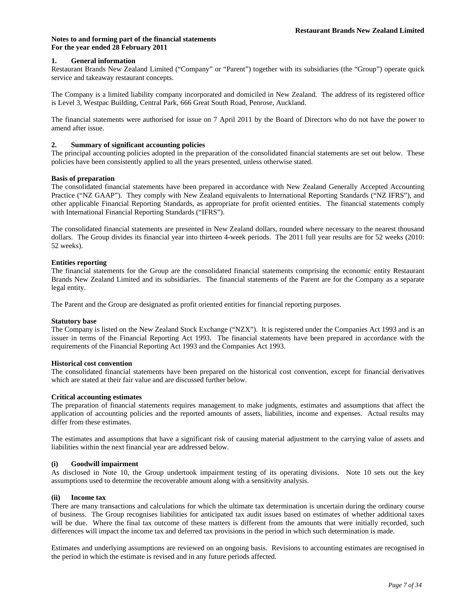# **1. General information**

Restaurant Brands New Zealand Limited ("Company" or "Parent") together with its subsidiaries (the "Group") operate quick service and takeaway restaurant concepts.

The Company is a limited liability company incorporated and domiciled in New Zealand. The address of its registered office is Level 3, Westpac Building, Central Park, 666 Great South Road, Penrose, Auckland.

The financial statements were authorised for issue on 7 April 2011 by the Board of Directors who do not have the power to amend after issue.

# **2. Summary of significant accounting policies**

The principal accounting policies adopted in the preparation of the consolidated financial statements are set out below. These policies have been consistently applied to all the years presented, unless otherwise stated.

## **Basis of preparation**

The consolidated financial statements have been prepared in accordance with New Zealand Generally Accepted Accounting Practice ("NZ GAAP"). They comply with New Zealand equivalents to International Reporting Standards ("NZ IFRS"), and other applicable Financial Reporting Standards, as appropriate for profit oriented entities. The financial statements comply with International Financial Reporting Standards ("IFRS").

The consolidated financial statements are presented in New Zealand dollars, rounded where necessary to the nearest thousand dollars. The Group divides its financial year into thirteen 4-week periods. The 2011 full year results are for 52 weeks (2010: 52 weeks).

## **Entities reporting**

The financial statements for the Group are the consolidated financial statements comprising the economic entity Restaurant Brands New Zealand Limited and its subsidiaries. The financial statements of the Parent are for the Company as a separate legal entity.

The Parent and the Group are designated as profit oriented entities for financial reporting purposes.

#### **Statutory base**

The Company is listed on the New Zealand Stock Exchange ("NZX"). It is registered under the Companies Act 1993 and is an issuer in terms of the Financial Reporting Act 1993. The financial statements have been prepared in accordance with the requirements of the Financial Reporting Act 1993 and the Companies Act 1993.

#### **Historical cost convention**

The consolidated financial statements have been prepared on the historical cost convention, except for financial derivatives which are stated at their fair value and are discussed further below.

#### **Critical accounting estimates**

The preparation of financial statements requires management to make judgments, estimates and assumptions that affect the application of accounting policies and the reported amounts of assets, liabilities, income and expenses. Actual results may differ from these estimates.

The estimates and assumptions that have a significant risk of causing material adjustment to the carrying value of assets and liabilities within the next financial year are addressed below.

#### **(i) Goodwill impairment**

As disclosed in Note 10, the Group undertook impairment testing of its operating divisions. Note 10 sets out the key assumptions used to determine the recoverable amount along with a sensitivity analysis.

#### **(ii) Income tax**

There are many transactions and calculations for which the ultimate tax determination is uncertain during the ordinary course of business. The Group recognises liabilities for anticipated tax audit issues based on estimates of whether additional taxes will be due. Where the final tax outcome of these matters is different from the amounts that were initially recorded, such differences will impact the income tax and deferred tax provisions in the period in which such determination is made.

Estimates and underlying assumptions are reviewed on an ongoing basis. Revisions to accounting estimates are recognised in the period in which the estimate is revised and in any future periods affected.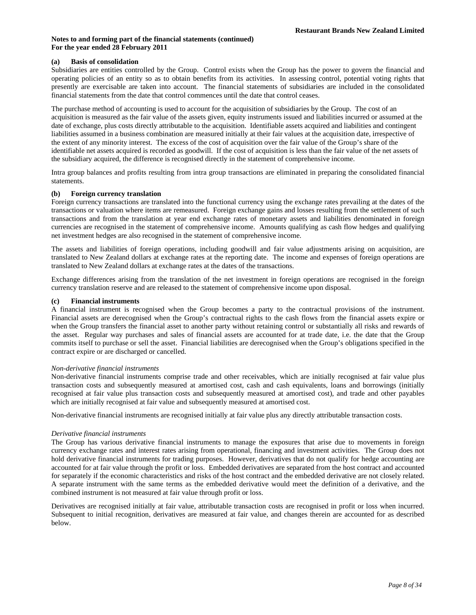## **(a) Basis of consolidation**

Subsidiaries are entities controlled by the Group. Control exists when the Group has the power to govern the financial and operating policies of an entity so as to obtain benefits from its activities. In assessing control, potential voting rights that presently are exercisable are taken into account. The financial statements of subsidiaries are included in the consolidated financial statements from the date that control commences until the date that control ceases.

The purchase method of accounting is used to account for the acquisition of subsidiaries by the Group. The cost of an acquisition is measured as the fair value of the assets given, equity instruments issued and liabilities incurred or assumed at the date of exchange, plus costs directly attributable to the acquisition. Identifiable assets acquired and liabilities and contingent liabilities assumed in a business combination are measured initially at their fair values at the acquisition date, irrespective of the extent of any minority interest. The excess of the cost of acquisition over the fair value of the Group's share of the identifiable net assets acquired is recorded as goodwill. If the cost of acquisition is less than the fair value of the net assets of the subsidiary acquired, the difference is recognised directly in the statement of comprehensive income.

Intra group balances and profits resulting from intra group transactions are eliminated in preparing the consolidated financial statements.

## **(b) Foreign currency translation**

Foreign currency transactions are translated into the functional currency using the exchange rates prevailing at the dates of the transactions or valuation where items are remeasured. Foreign exchange gains and losses resulting from the settlement of such transactions and from the translation at year end exchange rates of monetary assets and liabilities denominated in foreign currencies are recognised in the statement of comprehensive income. Amounts qualifying as cash flow hedges and qualifying net investment hedges are also recognised in the statement of comprehensive income.

The assets and liabilities of foreign operations, including goodwill and fair value adjustments arising on acquisition, are translated to New Zealand dollars at exchange rates at the reporting date. The income and expenses of foreign operations are translated to New Zealand dollars at exchange rates at the dates of the transactions.

Exchange differences arising from the translation of the net investment in foreign operations are recognised in the foreign currency translation reserve and are released to the statement of comprehensive income upon disposal.

## **(c) Financial instruments**

A financial instrument is recognised when the Group becomes a party to the contractual provisions of the instrument. Financial assets are derecognised when the Group's contractual rights to the cash flows from the financial assets expire or when the Group transfers the financial asset to another party without retaining control or substantially all risks and rewards of the asset. Regular way purchases and sales of financial assets are accounted for at trade date, i.e. the date that the Group commits itself to purchase or sell the asset. Financial liabilities are derecognised when the Group's obligations specified in the contract expire or are discharged or cancelled.

#### *Non-derivative financial instruments*

Non-derivative financial instruments comprise trade and other receivables, which are initially recognised at fair value plus transaction costs and subsequently measured at amortised cost, cash and cash equivalents, loans and borrowings (initially recognised at fair value plus transaction costs and subsequently measured at amortised cost), and trade and other payables which are initially recognised at fair value and subsequently measured at amortised cost.

Non-derivative financial instruments are recognised initially at fair value plus any directly attributable transaction costs.

#### *Derivative financial instruments*

The Group has various derivative financial instruments to manage the exposures that arise due to movements in foreign currency exchange rates and interest rates arising from operational, financing and investment activities. The Group does not hold derivative financial instruments for trading purposes. However, derivatives that do not qualify for hedge accounting are accounted for at fair value through the profit or loss. Embedded derivatives are separated from the host contract and accounted for separately if the economic characteristics and risks of the host contract and the embedded derivative are not closely related. A separate instrument with the same terms as the embedded derivative would meet the definition of a derivative, and the combined instrument is not measured at fair value through profit or loss.

Derivatives are recognised initially at fair value, attributable transaction costs are recognised in profit or loss when incurred. Subsequent to initial recognition, derivatives are measured at fair value, and changes therein are accounted for as described below.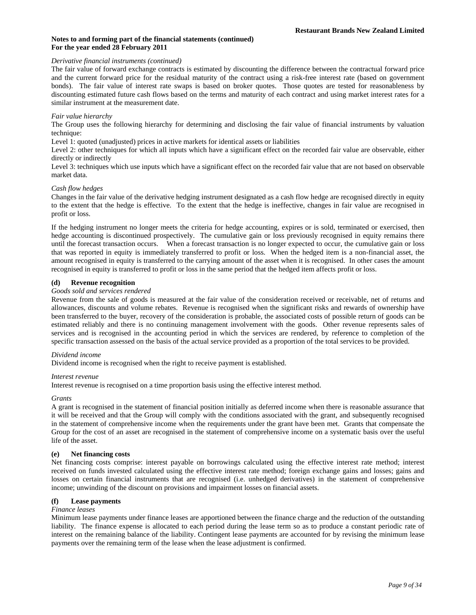#### *Derivative financial instruments (continued)*

The fair value of forward exchange contracts is estimated by discounting the difference between the contractual forward price and the current forward price for the residual maturity of the contract using a risk-free interest rate (based on government bonds). The fair value of interest rate swaps is based on broker quotes. Those quotes are tested for reasonableness by discounting estimated future cash flows based on the terms and maturity of each contract and using market interest rates for a similar instrument at the measurement date.

### *Fair value hierarchy*

The Group uses the following hierarchy for determining and disclosing the fair value of financial instruments by valuation technique:

Level 1: quoted (unadjusted) prices in active markets for identical assets or liabilities

Level 2: other techniques for which all inputs which have a significant effect on the recorded fair value are observable, either directly or indirectly

Level 3: techniques which use inputs which have a significant effect on the recorded fair value that are not based on observable market data.

## *Cash flow hedges*

Changes in the fair value of the derivative hedging instrument designated as a cash flow hedge are recognised directly in equity to the extent that the hedge is effective. To the extent that the hedge is ineffective, changes in fair value are recognised in profit or loss.

If the hedging instrument no longer meets the criteria for hedge accounting, expires or is sold, terminated or exercised, then hedge accounting is discontinued prospectively. The cumulative gain or loss previously recognised in equity remains there until the forecast transaction occurs. When a forecast transaction is no longer expected to occur, the cumulative gain or loss that was reported in equity is immediately transferred to profit or loss. When the hedged item is a non-financial asset, the amount recognised in equity is transferred to the carrying amount of the asset when it is recognised. In other cases the amount recognised in equity is transferred to profit or loss in the same period that the hedged item affects profit or loss.

## **(d) Revenue recognition**

## *Goods sold and services rendered*

Revenue from the sale of goods is measured at the fair value of the consideration received or receivable, net of returns and allowances, discounts and volume rebates. Revenue is recognised when the significant risks and rewards of ownership have been transferred to the buyer, recovery of the consideration is probable, the associated costs of possible return of goods can be estimated reliably and there is no continuing management involvement with the goods. Other revenue represents sales of services and is recognised in the accounting period in which the services are rendered, by reference to completion of the specific transaction assessed on the basis of the actual service provided as a proportion of the total services to be provided.

### *Dividend income*

Dividend income is recognised when the right to receive payment is established.

#### *Interest revenue*

Interest revenue is recognised on a time proportion basis using the effective interest method.

#### *Grants*

A grant is recognised in the statement of financial position initially as deferred income when there is reasonable assurance that it will be received and that the Group will comply with the conditions associated with the grant, and subsequently recognised in the statement of comprehensive income when the requirements under the grant have been met. Grants that compensate the Group for the cost of an asset are recognised in the statement of comprehensive income on a systematic basis over the useful life of the asset.

#### **(e) Net financing costs**

Net financing costs comprise: interest payable on borrowings calculated using the effective interest rate method; interest received on funds invested calculated using the effective interest rate method; foreign exchange gains and losses; gains and losses on certain financial instruments that are recognised (i.e. unhedged derivatives) in the statement of comprehensive income; unwinding of the discount on provisions and impairment losses on financial assets.

#### **(f) Lease payments**

#### *Finance leases*

Minimum lease payments under finance leases are apportioned between the finance charge and the reduction of the outstanding liability. The finance expense is allocated to each period during the lease term so as to produce a constant periodic rate of interest on the remaining balance of the liability. Contingent lease payments are accounted for by revising the minimum lease payments over the remaining term of the lease when the lease adjustment is confirmed.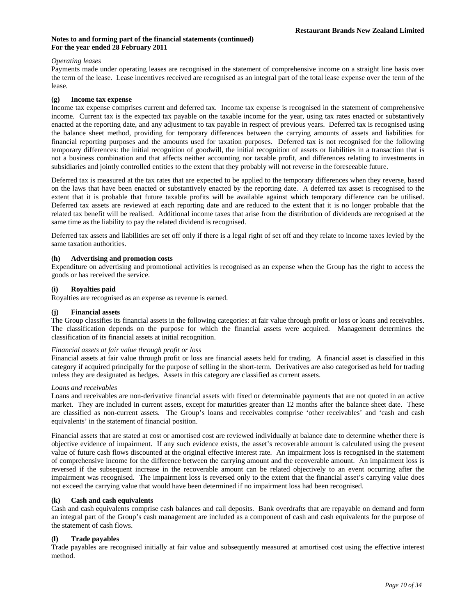## *Operating leases*

Payments made under operating leases are recognised in the statement of comprehensive income on a straight line basis over the term of the lease. Lease incentives received are recognised as an integral part of the total lease expense over the term of the lease.

### **(g) Income tax expense**

Income tax expense comprises current and deferred tax. Income tax expense is recognised in the statement of comprehensive income. Current tax is the expected tax payable on the taxable income for the year, using tax rates enacted or substantively enacted at the reporting date, and any adjustment to tax payable in respect of previous years. Deferred tax is recognised using the balance sheet method, providing for temporary differences between the carrying amounts of assets and liabilities for financial reporting purposes and the amounts used for taxation purposes. Deferred tax is not recognised for the following temporary differences: the initial recognition of goodwill, the initial recognition of assets or liabilities in a transaction that is not a business combination and that affects neither accounting nor taxable profit, and differences relating to investments in subsidiaries and jointly controlled entities to the extent that they probably will not reverse in the foreseeable future.

Deferred tax is measured at the tax rates that are expected to be applied to the temporary differences when they reverse, based on the laws that have been enacted or substantively enacted by the reporting date. A deferred tax asset is recognised to the extent that it is probable that future taxable profits will be available against which temporary difference can be utilised. Deferred tax assets are reviewed at each reporting date and are reduced to the extent that it is no longer probable that the related tax benefit will be realised. Additional income taxes that arise from the distribution of dividends are recognised at the same time as the liability to pay the related dividend is recognised.

Deferred tax assets and liabilities are set off only if there is a legal right of set off and they relate to income taxes levied by the same taxation authorities.

## **(h) Advertising and promotion costs**

Expenditure on advertising and promotional activities is recognised as an expense when the Group has the right to access the goods or has received the service.

## **(i) Royalties paid**

Royalties are recognised as an expense as revenue is earned.

## **(j) Financial assets**

The Group classifies its financial assets in the following categories: at fair value through profit or loss or loans and receivables. The classification depends on the purpose for which the financial assets were acquired. Management determines the classification of its financial assets at initial recognition.

#### *Financial assets at fair value through profit or loss*

Financial assets at fair value through profit or loss are financial assets held for trading. A financial asset is classified in this category if acquired principally for the purpose of selling in the short-term. Derivatives are also categorised as held for trading unless they are designated as hedges. Assets in this category are classified as current assets.

#### *Loans and receivables*

Loans and receivables are non-derivative financial assets with fixed or determinable payments that are not quoted in an active market. They are included in current assets, except for maturities greater than 12 months after the balance sheet date. These are classified as non-current assets. The Group's loans and receivables comprise 'other receivables' and 'cash and cash equivalents' in the statement of financial position.

Financial assets that are stated at cost or amortised cost are reviewed individually at balance date to determine whether there is objective evidence of impairment. If any such evidence exists, the asset's recoverable amount is calculated using the present value of future cash flows discounted at the original effective interest rate. An impairment loss is recognised in the statement of comprehensive income for the difference between the carrying amount and the recoverable amount. An impairment loss is reversed if the subsequent increase in the recoverable amount can be related objectively to an event occurring after the impairment was recognised. The impairment loss is reversed only to the extent that the financial asset's carrying value does not exceed the carrying value that would have been determined if no impairment loss had been recognised.

# **(k) Cash and cash equivalents**

Cash and cash equivalents comprise cash balances and call deposits. Bank overdrafts that are repayable on demand and form an integral part of the Group's cash management are included as a component of cash and cash equivalents for the purpose of the statement of cash flows.

# **(l) Trade payables**

Trade payables are recognised initially at fair value and subsequently measured at amortised cost using the effective interest method.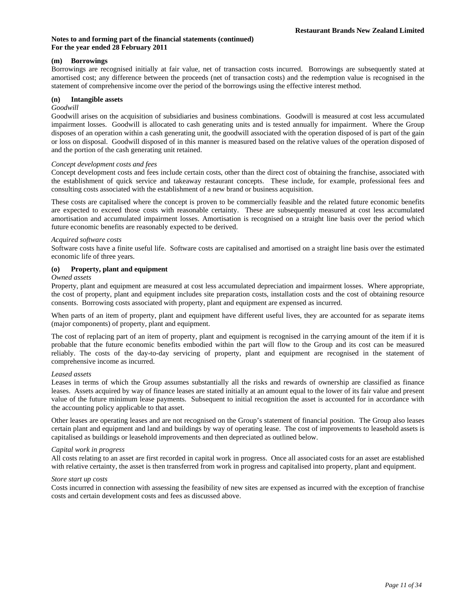## **(m) Borrowings**

Borrowings are recognised initially at fair value, net of transaction costs incurred. Borrowings are subsequently stated at amortised cost; any difference between the proceeds (net of transaction costs) and the redemption value is recognised in the statement of comprehensive income over the period of the borrowings using the effective interest method.

# **(n) Intangible assets**

## *Goodwill*

Goodwill arises on the acquisition of subsidiaries and business combinations. Goodwill is measured at cost less accumulated impairment losses. Goodwill is allocated to cash generating units and is tested annually for impairment. Where the Group disposes of an operation within a cash generating unit, the goodwill associated with the operation disposed of is part of the gain or loss on disposal. Goodwill disposed of in this manner is measured based on the relative values of the operation disposed of and the portion of the cash generating unit retained.

#### *Concept development costs and fees*

Concept development costs and fees include certain costs, other than the direct cost of obtaining the franchise, associated with the establishment of quick service and takeaway restaurant concepts. These include, for example, professional fees and consulting costs associated with the establishment of a new brand or business acquisition.

These costs are capitalised where the concept is proven to be commercially feasible and the related future economic benefits are expected to exceed those costs with reasonable certainty. These are subsequently measured at cost less accumulated amortisation and accumulated impairment losses. Amortisation is recognised on a straight line basis over the period which future economic benefits are reasonably expected to be derived.

#### *Acquired software costs*

Software costs have a finite useful life. Software costs are capitalised and amortised on a straight line basis over the estimated economic life of three years.

## **(o) Property, plant and equipment**

## *Owned assets*

Property, plant and equipment are measured at cost less accumulated depreciation and impairment losses. Where appropriate, the cost of property, plant and equipment includes site preparation costs, installation costs and the cost of obtaining resource consents. Borrowing costs associated with property, plant and equipment are expensed as incurred.

When parts of an item of property, plant and equipment have different useful lives, they are accounted for as separate items (major components) of property, plant and equipment.

The cost of replacing part of an item of property, plant and equipment is recognised in the carrying amount of the item if it is probable that the future economic benefits embodied within the part will flow to the Group and its cost can be measured reliably. The costs of the day-to-day servicing of property, plant and equipment are recognised in the statement of comprehensive income as incurred.

#### *Leased assets*

Leases in terms of which the Group assumes substantially all the risks and rewards of ownership are classified as finance leases. Assets acquired by way of finance leases are stated initially at an amount equal to the lower of its fair value and present value of the future minimum lease payments. Subsequent to initial recognition the asset is accounted for in accordance with the accounting policy applicable to that asset.

Other leases are operating leases and are not recognised on the Group's statement of financial position. The Group also leases certain plant and equipment and land and buildings by way of operating lease. The cost of improvements to leasehold assets is capitalised as buildings or leasehold improvements and then depreciated as outlined below.

# *Capital work in progress*

All costs relating to an asset are first recorded in capital work in progress. Once all associated costs for an asset are established with relative certainty, the asset is then transferred from work in progress and capitalised into property, plant and equipment.

#### *Store start up costs*

Costs incurred in connection with assessing the feasibility of new sites are expensed as incurred with the exception of franchise costs and certain development costs and fees as discussed above.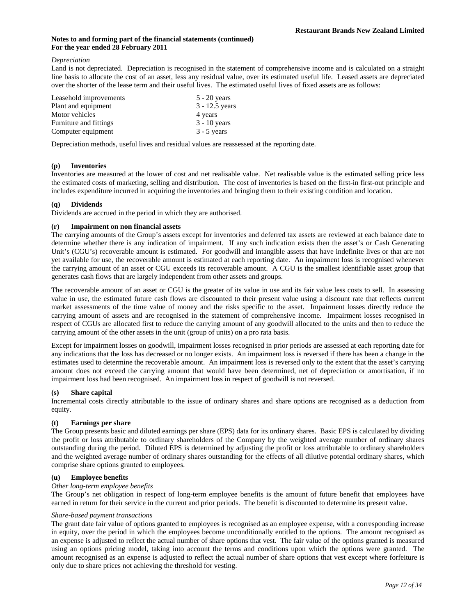#### *Depreciation*

Land is not depreciated. Depreciation is recognised in the statement of comprehensive income and is calculated on a straight line basis to allocate the cost of an asset, less any residual value, over its estimated useful life. Leased assets are depreciated over the shorter of the lease term and their useful lives. The estimated useful lives of fixed assets are as follows:

| Leasehold improvements | $5 - 20$ years   |
|------------------------|------------------|
| Plant and equipment    | $3 - 12.5$ years |
| Motor vehicles         | 4 years          |
| Furniture and fittings | $3 - 10$ years   |
| Computer equipment     | $3 - 5$ years    |

Depreciation methods, useful lives and residual values are reassessed at the reporting date.

## **(p) Inventories**

Inventories are measured at the lower of cost and net realisable value. Net realisable value is the estimated selling price less the estimated costs of marketing, selling and distribution. The cost of inventories is based on the first-in first-out principle and includes expenditure incurred in acquiring the inventories and bringing them to their existing condition and location.

## **(q) Dividends**

Dividends are accrued in the period in which they are authorised.

## **(r) Impairment on non financial assets**

The carrying amounts of the Group's assets except for inventories and deferred tax assets are reviewed at each balance date to determine whether there is any indication of impairment. If any such indication exists then the asset's or Cash Generating Unit's (CGU's) recoverable amount is estimated. For goodwill and intangible assets that have indefinite lives or that are not yet available for use, the recoverable amount is estimated at each reporting date. An impairment loss is recognised whenever the carrying amount of an asset or CGU exceeds its recoverable amount. A CGU is the smallest identifiable asset group that generates cash flows that are largely independent from other assets and groups.

The recoverable amount of an asset or CGU is the greater of its value in use and its fair value less costs to sell. In assessing value in use, the estimated future cash flows are discounted to their present value using a discount rate that reflects current market assessments of the time value of money and the risks specific to the asset. Impairment losses directly reduce the carrying amount of assets and are recognised in the statement of comprehensive income. Impairment losses recognised in respect of CGUs are allocated first to reduce the carrying amount of any goodwill allocated to the units and then to reduce the carrying amount of the other assets in the unit (group of units) on a pro rata basis.

Except for impairment losses on goodwill, impairment losses recognised in prior periods are assessed at each reporting date for any indications that the loss has decreased or no longer exists. An impairment loss is reversed if there has been a change in the estimates used to determine the recoverable amount. An impairment loss is reversed only to the extent that the asset's carrying amount does not exceed the carrying amount that would have been determined, net of depreciation or amortisation, if no impairment loss had been recognised. An impairment loss in respect of goodwill is not reversed.

#### **(s) Share capital**

Incremental costs directly attributable to the issue of ordinary shares and share options are recognised as a deduction from equity.

### **(t) Earnings per share**

The Group presents basic and diluted earnings per share (EPS) data for its ordinary shares. Basic EPS is calculated by dividing the profit or loss attributable to ordinary shareholders of the Company by the weighted average number of ordinary shares outstanding during the period. Diluted EPS is determined by adjusting the profit or loss attributable to ordinary shareholders and the weighted average number of ordinary shares outstanding for the effects of all dilutive potential ordinary shares, which comprise share options granted to employees.

#### **(u) Employee benefits**

## *Other long-term employee benefits*

The Group's net obligation in respect of long-term employee benefits is the amount of future benefit that employees have earned in return for their service in the current and prior periods. The benefit is discounted to determine its present value.

#### *Share-based payment transactions*

The grant date fair value of options granted to employees is recognised as an employee expense, with a corresponding increase in equity, over the period in which the employees become unconditionally entitled to the options. The amount recognised as an expense is adjusted to reflect the actual number of share options that vest. The fair value of the options granted is measured using an options pricing model, taking into account the terms and conditions upon which the options were granted. The amount recognised as an expense is adjusted to reflect the actual number of share options that vest except where forfeiture is only due to share prices not achieving the threshold for vesting.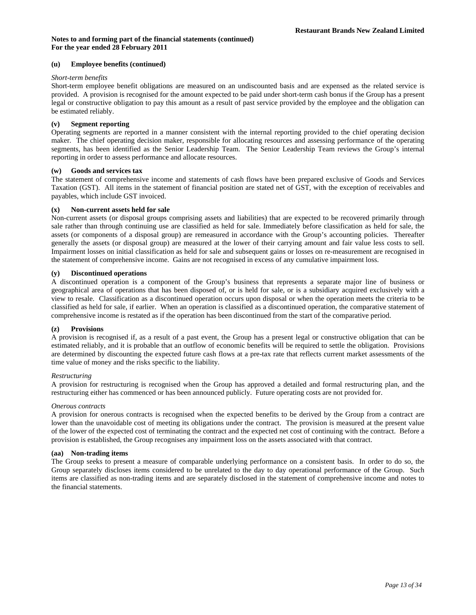## **(u) Employee benefits (continued)**

## *Short-term benefits*

Short-term employee benefit obligations are measured on an undiscounted basis and are expensed as the related service is provided. A provision is recognised for the amount expected to be paid under short-term cash bonus if the Group has a present legal or constructive obligation to pay this amount as a result of past service provided by the employee and the obligation can be estimated reliably.

# **(v) Segment reporting**

Operating segments are reported in a manner consistent with the internal reporting provided to the chief operating decision maker. The chief operating decision maker, responsible for allocating resources and assessing performance of the operating segments, has been identified as the Senior Leadership Team. The Senior Leadership Team reviews the Group's internal reporting in order to assess performance and allocate resources.

# **(w) Goods and services tax**

The statement of comprehensive income and statements of cash flows have been prepared exclusive of Goods and Services Taxation (GST). All items in the statement of financial position are stated net of GST, with the exception of receivables and payables, which include GST invoiced.

# **(x) Non-current assets held for sale**

Non-current assets (or disposal groups comprising assets and liabilities) that are expected to be recovered primarily through sale rather than through continuing use are classified as held for sale. Immediately before classification as held for sale, the assets (or components of a disposal group) are remeasured in accordance with the Group's accounting policies. Thereafter generally the assets (or disposal group) are measured at the lower of their carrying amount and fair value less costs to sell. Impairment losses on initial classification as held for sale and subsequent gains or losses on re-measurement are recognised in the statement of comprehensive income. Gains are not recognised in excess of any cumulative impairment loss.

## **(y) Discontinued operations**

A discontinued operation is a component of the Group's business that represents a separate major line of business or geographical area of operations that has been disposed of, or is held for sale, or is a subsidiary acquired exclusively with a view to resale. Classification as a discontinued operation occurs upon disposal or when the operation meets the criteria to be classified as held for sale, if earlier. When an operation is classified as a discontinued operation, the comparative statement of comprehensive income is restated as if the operation has been discontinued from the start of the comparative period.

# **(z) Provisions**

A provision is recognised if, as a result of a past event, the Group has a present legal or constructive obligation that can be estimated reliably, and it is probable that an outflow of economic benefits will be required to settle the obligation. Provisions are determined by discounting the expected future cash flows at a pre-tax rate that reflects current market assessments of the time value of money and the risks specific to the liability.

#### *Restructuring*

A provision for restructuring is recognised when the Group has approved a detailed and formal restructuring plan, and the restructuring either has commenced or has been announced publicly. Future operating costs are not provided for.

#### *Onerous contracts*

A provision for onerous contracts is recognised when the expected benefits to be derived by the Group from a contract are lower than the unavoidable cost of meeting its obligations under the contract. The provision is measured at the present value of the lower of the expected cost of terminating the contract and the expected net cost of continuing with the contract. Before a provision is established, the Group recognises any impairment loss on the assets associated with that contract.

## **(aa) Non-trading items**

The Group seeks to present a measure of comparable underlying performance on a consistent basis. In order to do so, the Group separately discloses items considered to be unrelated to the day to day operational performance of the Group. Such items are classified as non-trading items and are separately disclosed in the statement of comprehensive income and notes to the financial statements.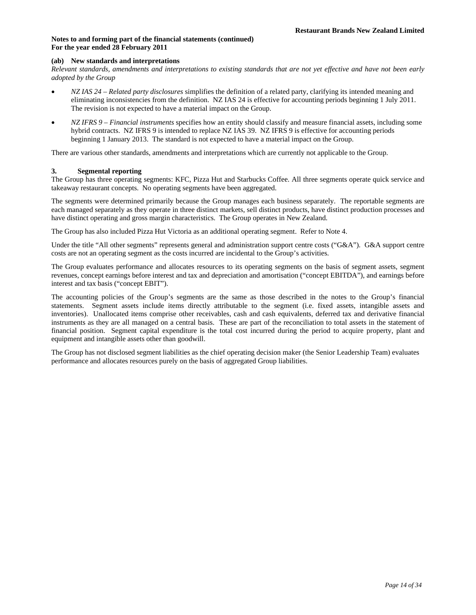## **(ab) New standards and interpretations**

*Relevant standards, amendments and interpretations to existing standards that are not yet effective and have not been early adopted by the Group* 

- *NZ IAS 24 Related party disclosures* simplifies the definition of a related party, clarifying its intended meaning and eliminating inconsistencies from the definition. NZ IAS 24 is effective for accounting periods beginning 1 July 2011. The revision is not expected to have a material impact on the Group.
- *NZ IFRS 9 Financial instruments* specifies how an entity should classify and measure financial assets, including some hybrid contracts. NZ IFRS 9 is intended to replace NZ IAS 39. NZ IFRS 9 is effective for accounting periods beginning 1 January 2013. The standard is not expected to have a material impact on the Group.

There are various other standards, amendments and interpretations which are currently not applicable to the Group.

# **3. Segmental reporting**

The Group has three operating segments: KFC, Pizza Hut and Starbucks Coffee. All three segments operate quick service and takeaway restaurant concepts. No operating segments have been aggregated.

The segments were determined primarily because the Group manages each business separately. The reportable segments are each managed separately as they operate in three distinct markets, sell distinct products, have distinct production processes and have distinct operating and gross margin characteristics. The Group operates in New Zealand.

The Group has also included Pizza Hut Victoria as an additional operating segment. Refer to Note 4.

Under the title "All other segments" represents general and administration support centre costs ("G&A"). G&A support centre costs are not an operating segment as the costs incurred are incidental to the Group's activities.

The Group evaluates performance and allocates resources to its operating segments on the basis of segment assets, segment revenues, concept earnings before interest and tax and depreciation and amortisation ("concept EBITDA"), and earnings before interest and tax basis ("concept EBIT").

The accounting policies of the Group's segments are the same as those described in the notes to the Group's financial statements. Segment assets include items directly attributable to the segment (i.e. fixed assets, intangible assets and inventories). Unallocated items comprise other receivables, cash and cash equivalents, deferred tax and derivative financial instruments as they are all managed on a central basis. These are part of the reconciliation to total assets in the statement of financial position. Segment capital expenditure is the total cost incurred during the period to acquire property, plant and equipment and intangible assets other than goodwill.

The Group has not disclosed segment liabilities as the chief operating decision maker (the Senior Leadership Team) evaluates performance and allocates resources purely on the basis of aggregated Group liabilities.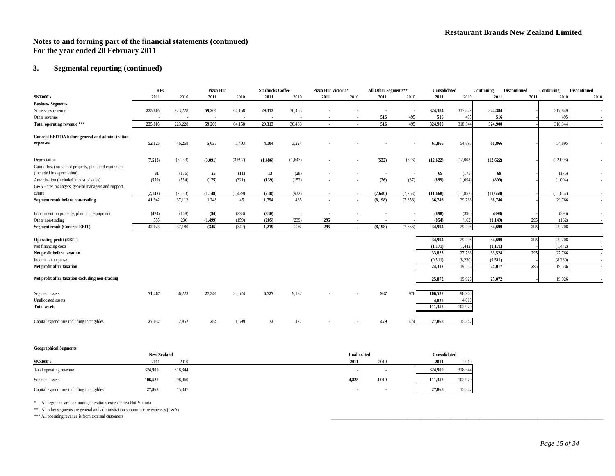# **3. Segmental reporting (continued)**

|                                                        | KFC     |         | Pizza Hut |          | <b>Starbucks Coffee</b> |         | Pizza Hut Victoria* |                | All Other Segments**     |          | Consolidated |           | Continuing | <b>Discontinued</b> | Continuing | <b>Discontinued</b> |
|--------------------------------------------------------|---------|---------|-----------|----------|-------------------------|---------|---------------------|----------------|--------------------------|----------|--------------|-----------|------------|---------------------|------------|---------------------|
| \$NZ000's                                              | 2011    | 2010    | 2011      | 2010     | 2011                    | 2010    | 2011                | 2010           | 2011                     | 2010     | 2011         | 2010      | 2011       | 2011                | 2010       | 2010                |
| <b>Business Segments</b>                               |         |         |           |          |                         |         |                     |                |                          |          |              |           |            |                     |            |                     |
| Store sales revenue                                    | 235,805 | 223,228 | 59,266    | 64,158   | 29,313                  | 30,463  |                     |                |                          |          | 324,384      | 317,849   | 324,384    |                     | 317,849    |                     |
| Other revenue                                          |         |         |           |          |                         |         |                     |                | 516                      | 495      | 516          | 495       | 516        |                     | 495        |                     |
| Total operating revenue ***                            | 235,805 | 223,228 | 59.266    | 64,158   | 29,313                  | 30,463  |                     |                | 516                      | 495      | 324,900      | 318,344   | 324,900    |                     | 318,344    |                     |
| Concept EBITDA before general and administration       |         |         |           |          |                         |         |                     |                |                          |          |              |           |            |                     |            |                     |
| expenses                                               | 52,125  | 46,268  | 5,637     | 5,403    | 4,104                   | 3,224   |                     |                |                          |          | 61,866       | 54,895    | 61,866     |                     | 54,895     |                     |
| Depreciation                                           | (7,513) | (6,233) | (3,091)   | (3,597)  | (1, 486)                | (1,647) |                     | $\blacksquare$ | (532)                    | (526)    | (12, 622)    | (12,003)  | (12, 622)  |                     | (12,003)   |                     |
| Gain / (loss) on sale of property, plant and equipment |         |         |           |          |                         |         |                     |                |                          |          |              |           |            |                     |            |                     |
| (included in depreciation)                             | 31      | (136)   | 25        | (11)     | 13                      | (28)    |                     |                | $\overline{\phantom{a}}$ |          | 69           | (175)     | 69         |                     | (175)      |                     |
| Amortisation (included in cost of sales)               | (559)   | (554)   | (175)     | (321)    | (139)                   | (152)   |                     |                | (26)                     | (67)     | (899)        | (1,094)   | (899)      |                     | (1,094)    | $\sim$              |
| G&A - area managers, general managers and support      |         |         |           |          |                         |         |                     |                |                          |          |              |           |            |                     |            |                     |
| centre                                                 | (2,142) | (2,233) | (1,148)   | (1, 429) | (738)                   | (932)   |                     |                | (7,640)                  | (7,263)  | (11,668)     | (11, 857) | (11,668)   |                     | (11, 857)  |                     |
| Segment result before non-trading                      | 41,942  | 37,112  | 1,248     | 45       | 1,754                   | 465     |                     |                | (8, 198)                 | (7,856)  | 36,746       | 29,766    | 36,746     |                     | 29,766     |                     |
| Impairment on property, plant and equipment            | (474)   | (168)   | (94)      | (228)    | (330)                   |         |                     |                |                          |          | (898)        | (396)     | (898)      |                     | (396)      |                     |
| Other non-trading                                      | 555     | 236     | (1, 499)  | (159)    | (205)                   | (239)   | 295                 |                |                          |          | (854)        | (162)     | (1, 149)   | 295                 | (162)      |                     |
| <b>Segment result (Concept EBIT)</b>                   | 42,023  | 37,180  | (345)     | (342)    | 1,219                   | 226     | 295                 | $\blacksquare$ | (8, 198)                 | (7, 856) | 34,994       | 29,208    | 34,699     | 295                 | 29,208     |                     |
| <b>Operating profit (EBIT)</b>                         |         |         |           |          |                         |         |                     |                |                          |          | 34,994       | 29,208    | 34,699     | 295                 | 29,208     |                     |
| Net financing costs                                    |         |         |           |          |                         |         |                     |                |                          |          | (1,171)      | (1, 442)  | (1,171)    |                     | (1, 442)   |                     |
| Net profit before taxation                             |         |         |           |          |                         |         |                     |                |                          |          | 33,823       | 27,766    | 33,528     | 295                 | 27,766     |                     |
| Income tax expense                                     |         |         |           |          |                         |         |                     |                |                          |          | (9,511)      | (8,230)   | (9,511)    |                     | (8,230)    |                     |
| Net profit after taxation                              |         |         |           |          |                         |         |                     |                |                          |          | 24,312       | 19,536    | 24,017     | 295                 | 19,536     |                     |
| Net profit after taxation excluding non-trading        |         |         |           |          |                         |         |                     |                |                          |          |              |           |            |                     |            |                     |
|                                                        |         |         |           |          |                         |         |                     |                |                          |          | 25,072       | 19,926    | 25,072     |                     | 19,926     |                     |
| Segment assets                                         | 71,467  | 56,223  | 27,346    | 32,624   | 6,727                   | 9,137   |                     |                | 987                      | 976      | 106,527      | 98,960    |            |                     |            |                     |
| Unallocated assets                                     |         |         |           |          |                         |         |                     |                |                          |          | 4,825        | 4,01      |            |                     |            |                     |
| <b>Total assets</b>                                    |         |         |           |          |                         |         |                     |                |                          |          | 111.352      | 102,970   |            |                     |            |                     |
| Capital expenditure including intangibles              | 27,032  | 12,852  | 284       | 1,599    | 73                      | 422     |                     |                | 479                      |          | 27,868       | 15,347    |            |                     |            |                     |

#### **Geographical Segments**

| <b>New Zealand</b>                        |         |         | Unallocated    |                          |         |         |
|-------------------------------------------|---------|---------|----------------|--------------------------|---------|---------|
| <b>\$NZ000's</b>                          | 2011    | 2010    | 2011           | 2010                     | 2011    | 2010    |
| Total operating revenue                   | 324.900 | 318,344 | $\blacksquare$ | $\overline{\phantom{a}}$ | 324,900 | 318,344 |
| Segment assets                            | 106.527 | 98,960  | 4.825          | 4.010                    | 111.352 | 102,970 |
| Capital expenditure including intangibles | 27,868  | 15,347  | $\sim$         | $\overline{\phantom{a}}$ | 27,868  | 15,347  |

\* All segments are continuing operations except Pizza Hut Victoria

\*\* All other segments are general and administration support centre expenses (G&A)

\*\*\* All operating revenue is from external customers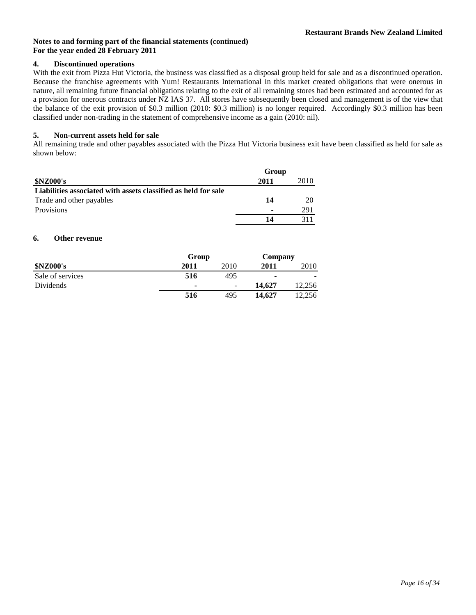# **4. Discontinued operations**

With the exit from Pizza Hut Victoria, the business was classified as a disposal group held for sale and as a discontinued operation. Because the franchise agreements with Yum! Restaurants International in this market created obligations that were onerous in nature, all remaining future financial obligations relating to the exit of all remaining stores had been estimated and accounted for as a provision for onerous contracts under NZ IAS 37. All stores have subsequently been closed and management is of the view that the balance of the exit provision of \$0.3 million (2010: \$0.3 million) is no longer required. Accordingly \$0.3 million has been classified under non-trading in the statement of comprehensive income as a gain (2010: nil).

# **5. Non-current assets held for sale**

All remaining trade and other payables associated with the Pizza Hut Victoria business exit have been classified as held for sale as shown below:

|                                                                | Group |      |
|----------------------------------------------------------------|-------|------|
| <b>\$NZ000's</b>                                               | 2011  | 2010 |
| Liabilities associated with assets classified as held for sale |       |      |
| Trade and other payables                                       | 14    | 20   |
| <b>Provisions</b>                                              | ۰     | 291  |
|                                                                | 14    | 311  |
|                                                                |       |      |

# **6. Other revenue**

|                  | Group                    |                          | Company                  |        |
|------------------|--------------------------|--------------------------|--------------------------|--------|
| <b>\$NZ000's</b> | 2011                     | 2010                     | 2011                     | 2010   |
| Sale of services | 516                      | 495                      | $\overline{\phantom{a}}$ |        |
| Dividends        | $\overline{\phantom{a}}$ | $\overline{\phantom{a}}$ | 14.627                   | 12,256 |
|                  | 516                      | 495                      | 14.627                   | 12.256 |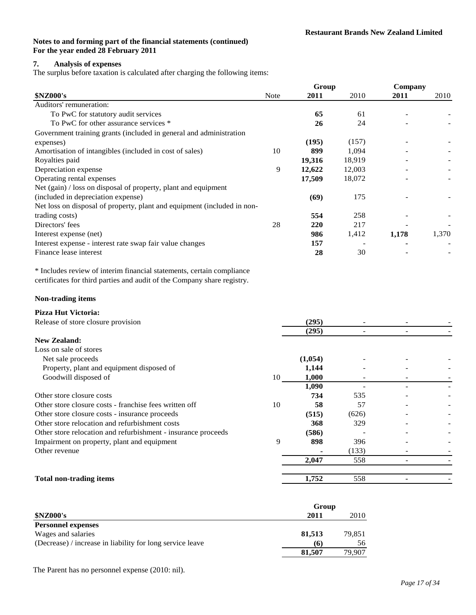# **7. Analysis of expenses**

The surplus before taxation is calculated after charging the following items:

|                                                                         |             | Group  |        | Company |       |
|-------------------------------------------------------------------------|-------------|--------|--------|---------|-------|
| <b>\$NZ000's</b>                                                        | <b>Note</b> | 2011   | 2010   | 2011    | 2010  |
| Auditors' remuneration:                                                 |             |        |        |         |       |
| To PwC for statutory audit services                                     |             | 65     | 61     |         |       |
| To PwC for other assurance services *                                   |             | 26     | 24     |         |       |
| Government training grants (included in general and administration      |             |        |        |         |       |
| expenses)                                                               |             | (195)  | (157)  |         |       |
| Amortisation of intangibles (included in cost of sales)                 | 10          | 899    | 1,094  |         |       |
| Royalties paid                                                          |             | 19,316 | 18,919 |         |       |
| Depreciation expense                                                    | 9           | 12,622 | 12,003 |         |       |
| Operating rental expenses                                               |             | 17,509 | 18,072 |         |       |
| Net (gain) / loss on disposal of property, plant and equipment          |             |        |        |         |       |
| (included in depreciation expense)                                      |             | (69)   | 175    |         |       |
| Net loss on disposal of property, plant and equipment (included in non- |             |        |        |         |       |
| trading costs)                                                          |             | 554    | 258    |         |       |
| Directors' fees                                                         | 28          | 220    | 217    |         |       |
| Interest expense (net)                                                  |             | 986    | 1,412  | 1,178   | 1,370 |
| Interest expense - interest rate swap fair value changes                |             | 157    |        |         |       |
| Finance lease interest                                                  |             | 28     | 30     |         |       |

\* Includes review of interim financial statements, certain compliance certificates for third parties and audit of the Company share registry.

# **Non-trading items**

# **Pizza Hut Victoria:**

| Release of store closure provision                            |    | (295)   |       |  |
|---------------------------------------------------------------|----|---------|-------|--|
|                                                               |    | (295)   |       |  |
| <b>New Zealand:</b>                                           |    |         |       |  |
| Loss on sale of stores                                        |    |         |       |  |
| Net sale proceeds                                             |    | (1,054) |       |  |
| Property, plant and equipment disposed of                     |    | 1,144   |       |  |
| Goodwill disposed of                                          | 10 | 1,000   |       |  |
|                                                               |    | 1,090   |       |  |
| Other store closure costs                                     |    | 734     | 535   |  |
| Other store closure costs - franchise fees written off        | 10 | 58      | 57    |  |
| Other store closure costs - insurance proceeds                |    | (515)   | (626) |  |
| Other store relocation and refurbishment costs                |    | 368     | 329   |  |
| Other store relocation and refurbishment - insurance proceeds |    | (586)   |       |  |
| Impairment on property, plant and equipment                   | 9  | 898     | 396   |  |
| Other revenue                                                 |    |         | (133) |  |
|                                                               |    | 2,047   | 558   |  |
| <b>Total non-trading items</b>                                |    | 1,752   | 558   |  |

|                                                           | Group  |        |
|-----------------------------------------------------------|--------|--------|
| <b>\$NZ000's</b>                                          | 2011   | 2010   |
| <b>Personnel expenses</b>                                 |        |        |
| Wages and salaries                                        | 81,513 | 79.851 |
| (Decrease) / increase in liability for long service leave | (6)    | 56     |
|                                                           | 81,507 | 79.907 |

The Parent has no personnel expense (2010: nil).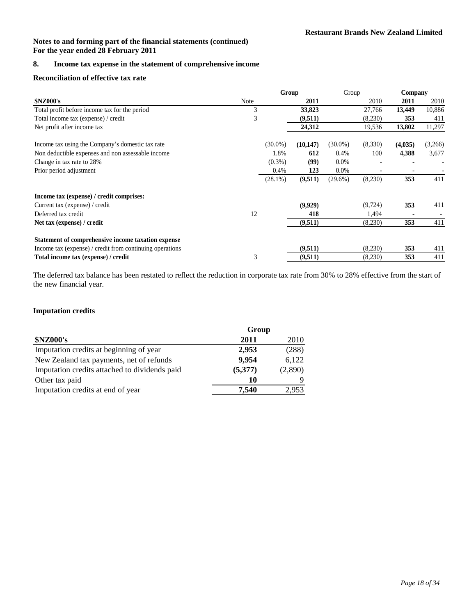# **8. Income tax expense in the statement of comprehensive income**

# **Reconciliation of effective tax rate**

|                                                          | Group |            |           | Group      |          | Company |         |  |
|----------------------------------------------------------|-------|------------|-----------|------------|----------|---------|---------|--|
| <b>\$NZ000's</b>                                         | Note  |            | 2011      |            | 2010     | 2011    | 2010    |  |
| Total profit before income tax for the period            | 3     |            | 33,823    |            | 27,766   | 13,449  | 10,886  |  |
| Total income tax (expense) / credit                      | 3     |            | (9,511)   |            | (8,230)  | 353     | 411     |  |
| Net profit after income tax                              |       |            | 24,312    |            | 19,536   | 13,802  | 11,297  |  |
| Income tax using the Company's domestic tax rate         |       | $(30.0\%)$ | (10, 147) | $(30.0\%)$ | (8,330)  | (4,035) | (3,266) |  |
| Non deductible expenses and non assessable income        |       | 1.8%       | 612       | 0.4%       | 100      | 4,388   | 3,677   |  |
| Change in tax rate to 28%                                |       | $(0.3\%)$  | (99)      | $0.0\%$    |          |         |         |  |
| Prior period adjustment                                  |       | 0.4%       | 123       | 0.0%       |          |         |         |  |
|                                                          |       | $(28.1\%)$ | (9,511)   | (29.6%)    | (8,230)  | 353     | 411     |  |
| Income tax (expense) / credit comprises:                 |       |            |           |            |          |         |         |  |
| Current tax (expense) / credit                           |       |            | (9,929)   |            | (9, 724) | 353     | 411     |  |
| Deferred tax credit                                      | 12    |            | 418       |            | 1,494    |         |         |  |
| Net tax (expense) / credit                               |       |            | (9,511)   |            | (8,230)  | 353     | 411     |  |
| Statement of comprehensive income taxation expense       |       |            |           |            |          |         |         |  |
| Income tax (expense) / credit from continuing operations |       |            | (9,511)   |            | (8,230)  | 353     | 411     |  |
| Total income tax (expense) / credit                      | 3     |            | (9,511)   |            | (8,230)  | 353     | 411     |  |

The deferred tax balance has been restated to reflect the reduction in corporate tax rate from 30% to 28% effective from the start of the new financial year.

# **Imputation credits**

|                                               | Group   |         |
|-----------------------------------------------|---------|---------|
| <b>\$NZ000's</b>                              | 2011    | 2010    |
| Imputation credits at beginning of year       | 2,953   | (288)   |
| New Zealand tax payments, net of refunds      | 9,954   | 6,122   |
| Imputation credits attached to dividends paid | (5,377) | (2,890) |
| Other tax paid                                | 10      | 9       |
| Imputation credits at end of year             | 7.540   | 2.953   |
|                                               |         |         |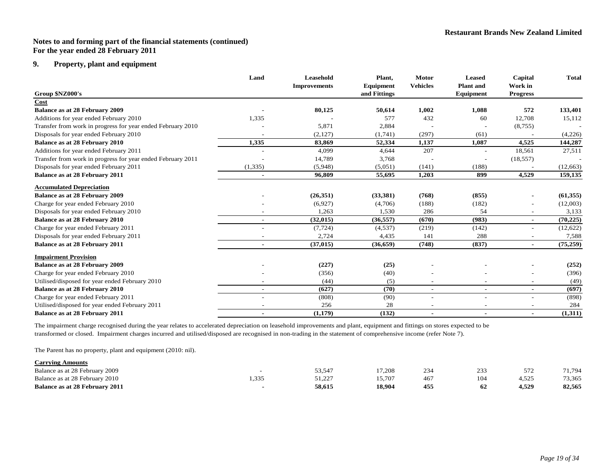# **9. Property, plant and equipment**

|                                                             | Land           | Leasehold           | Plant,       | <b>Motor</b>    | <b>Leased</b>    | Capital                  | <b>Total</b> |
|-------------------------------------------------------------|----------------|---------------------|--------------|-----------------|------------------|--------------------------|--------------|
|                                                             |                | <b>Improvements</b> | Equipment    | <b>Vehicles</b> | <b>Plant</b> and | Work in                  |              |
| Group \$NZ000's                                             |                |                     | and Fittings |                 | Equipment        | <b>Progress</b>          |              |
| Cost                                                        |                |                     |              |                 |                  |                          |              |
| <b>Balance as at 28 February 2009</b>                       |                | 80,125              | 50,614       | 1,002           | 1,088            | 572                      | 133,401      |
| Additions for year ended February 2010                      | 1,335          |                     | 577          | 432             | 60               | 12,708                   | 15,112       |
| Transfer from work in progress for year ended February 2010 |                | 5,871               | 2,884        |                 |                  | (8,755)                  |              |
| Disposals for year ended February 2010                      |                | (2,127)             | (1,741)      | (297)           | (61)             |                          | (4,226)      |
| <b>Balance as at 28 February 2010</b>                       | 1,335          | 83,869              | 52,334       | 1,137           | 1,087            | 4,525                    | 144,287      |
| Additions for year ended February 2011                      |                | 4,099               | 4,644        | 207             |                  | 18,561                   | 27,511       |
| Transfer from work in progress for year ended February 2011 |                | 14,789              | 3,768        |                 |                  | (18, 557)                |              |
| Disposals for year ended February 2011                      | (1, 335)       | (5,948)             | (5,051)      | (141)           | (188)            |                          | (12, 663)    |
| Balance as at 28 February 2011                              |                | 96.809              | 55,695       | 1,203           | 899              | 4,529                    | 159,135      |
| <b>Accumulated Depreciation</b>                             |                |                     |              |                 |                  |                          |              |
| <b>Balance as at 28 February 2009</b>                       |                | (26,351)            | (33,381)     | (768)           | (855)            |                          | (61,355)     |
| Charge for year ended February 2010                         |                | (6,927)             | (4,706)      | (188)           | (182)            |                          | (12,003)     |
| Disposals for year ended February 2010                      |                | 1,263               | 1,530        | 286             | 54               | $\overline{\phantom{0}}$ | 3,133        |
| <b>Balance as at 28 February 2010</b>                       |                | (32, 015)           | (36, 557)    | (670)           | (983)            | $\blacksquare$           | (70, 225)    |
| Charge for year ended February 2011                         |                | (7, 724)            | (4,537)      | (219)           | (142)            | $\overline{\phantom{a}}$ | (12,622)     |
| Disposals for year ended February 2011                      |                | 2,724               | 4,435        | 141             | 288              | $\overline{\phantom{a}}$ | 7,588        |
| Balance as at 28 February 2011                              |                | (37, 015)           | (36, 659)    | (748)           | (837)            | $\blacksquare$           | (75, 259)    |
| <b>Impairment Provision</b>                                 |                |                     |              |                 |                  |                          |              |
| <b>Balance as at 28 February 2009</b>                       |                | (227)               | (25)         |                 |                  |                          | (252)        |
| Charge for year ended February 2010                         |                | (356)               | (40)         |                 |                  |                          | (396)        |
| Utilised/disposed for year ended February 2010              |                | (44)                | (5)          |                 |                  |                          | (49)         |
| Balance as at 28 February 2010                              |                | (627)               | (70)         | $\sim$          |                  | ٠                        | (697)        |
| Charge for year ended February 2011                         |                | (808)               | (90)         |                 |                  |                          | (898)        |
| Utilised/disposed for year ended February 2011              |                | 256                 | 28           |                 |                  |                          | 284          |
| <b>Balance as at 28 February 2011</b>                       | $\blacksquare$ | (1,179)             | (132)        | $\blacksquare$  |                  | $\blacksquare$           | (1,311)      |

The impairment charge recognised during the year relates to accelerated depreciation on leasehold improvements and plant, equipment and fittings on stores expected to be transformed or closed. Impairment charges incurred and utilised/disposed are recognised in non-trading in the statement of comprehensive income (refer Note 7).

The Parent has no property, plant and equipment (2010: nil).

| <b>Carrying Amounts</b>        |       |        |        |                 |     |       |        |
|--------------------------------|-------|--------|--------|-----------------|-----|-------|--------|
| Balance as at 28 February 2009 |       | 53,547 | '7.208 | 234             | 233 |       | 71,794 |
| Balance as at 28 February 2010 | 1.335 | 51.227 | 15.707 | 46 <sup>7</sup> | 104 | +.525 | 73,365 |
| Balance as at 28 February 2011 |       | 58,615 | 18.904 | 455             | 62  | 4.529 | 82,565 |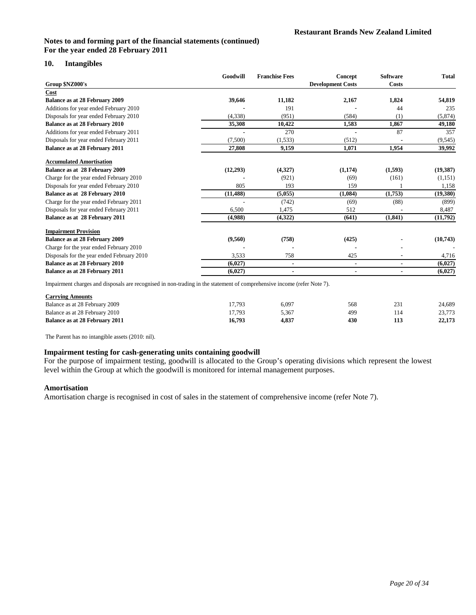# **10. Intangibles**

| Goodwill  | <b>Franchise Fees</b> | Concept                  | <b>Software</b> | Total    |
|-----------|-----------------------|--------------------------|-----------------|----------|
|           |                       | <b>Development Costs</b> | Costs           |          |
|           |                       |                          |                 |          |
| 39,646    | 11,182                | 2,167                    | 1,824           | 54,819   |
|           | 191                   |                          | 44              | 235      |
| (4,338)   | (951)                 | (584)                    | (1)             | (5, 874) |
| 35,308    | 10,422                | 1,583                    | 1,867           | 49,180   |
|           | 270                   |                          | 87              | 357      |
| (7,500)   | (1,533)               | (512)                    |                 | (9, 545) |
| 27,808    | 9,159                 | 1,071                    | 1,954           | 39,992   |
|           |                       |                          |                 |          |
| (12,293)  | (4,327)               | (1,174)                  | (1,593)         | (19,387) |
|           | (921)                 | (69)                     | (161)           | (1,151)  |
| 805       | 193                   | 159                      |                 | 1,158    |
| (11, 488) | (5,055)               | (1,084)                  | (1,753)         | (19,380) |
|           | (742)                 | (69)                     | (88)            | (899)    |
| 6,500     | 1,475                 | 512                      |                 | 8,487    |
| (4,988)   | (4,322)               | (641)                    | (1, 841)        | (11,792) |
|           |                       |                          |                 |          |
| (9,560)   | (758)                 | (425)                    |                 | (10,743) |
|           |                       |                          |                 |          |
| 3,533     | 758                   | 425                      |                 | 4,716    |
| (6,027)   | $\blacksquare$        | ٠                        |                 | (6,027)  |
| (6,027)   |                       |                          |                 | (6,027)  |
|           |                       |                          |                 |          |

Impairment charges and disposals are recognised in non-trading in the statement of comprehensive income (refer Note 7).

| <b>Carrying Amounts</b>        |        |       |     |     |        |
|--------------------------------|--------|-------|-----|-----|--------|
| Balance as at 28 February 2009 | 17.793 | 6.097 | 568 | 231 | 24.689 |
| Balance as at 28 February 2010 | 17.793 | 5,367 | 499 | 114 | 23.773 |
| Balance as at 28 February 2011 | 16.793 | 4.837 | 430 | 113 | 22.173 |

The Parent has no intangible assets (2010: nil).

## **Impairment testing for cash-generating units containing goodwill**

For the purpose of impairment testing, goodwill is allocated to the Group's operating divisions which represent the lowest level within the Group at which the goodwill is monitored for internal management purposes.

# **Amortisation**

Amortisation charge is recognised in cost of sales in the statement of comprehensive income (refer Note 7).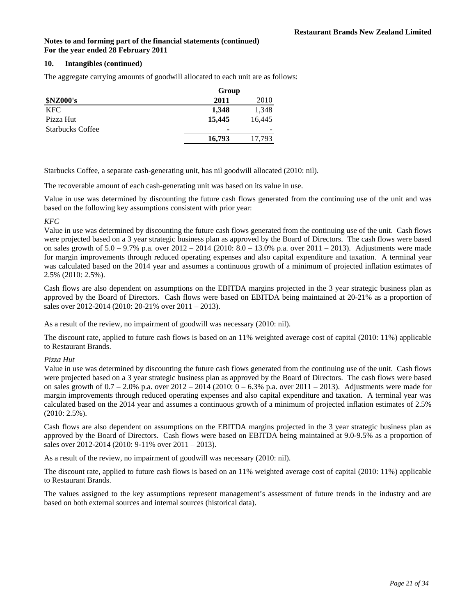# **10. Intangibles (continued)**

The aggregate carrying amounts of goodwill allocated to each unit are as follows:

|                         | Group  |        |  |  |  |
|-------------------------|--------|--------|--|--|--|
| <b>\$NZ000's</b>        | 2011   | 2010   |  |  |  |
| KFC.                    | 1,348  | 1,348  |  |  |  |
| Pizza Hut               | 15,445 | 16.445 |  |  |  |
| <b>Starbucks Coffee</b> | ٠      | -      |  |  |  |
|                         | 16,793 | 17,793 |  |  |  |

Starbucks Coffee, a separate cash-generating unit, has nil goodwill allocated (2010: nil).

The recoverable amount of each cash-generating unit was based on its value in use.

Value in use was determined by discounting the future cash flows generated from the continuing use of the unit and was based on the following key assumptions consistent with prior year:

# *KFC*

Value in use was determined by discounting the future cash flows generated from the continuing use of the unit. Cash flows were projected based on a 3 year strategic business plan as approved by the Board of Directors. The cash flows were based on sales growth of  $5.0 - 9.7\%$  p.a. over  $2012 - 2014$  (2010:  $8.0 - 13.0\%$  p.a. over  $2011 - 2013$ ). Adjustments were made for margin improvements through reduced operating expenses and also capital expenditure and taxation. A terminal year was calculated based on the 2014 year and assumes a continuous growth of a minimum of projected inflation estimates of 2.5% (2010: 2.5%).

Cash flows are also dependent on assumptions on the EBITDA margins projected in the 3 year strategic business plan as approved by the Board of Directors. Cash flows were based on EBITDA being maintained at 20-21% as a proportion of sales over 2012-2014 (2010: 20-21% over 2011 – 2013).

As a result of the review, no impairment of goodwill was necessary (2010: nil).

The discount rate, applied to future cash flows is based on an 11% weighted average cost of capital (2010: 11%) applicable to Restaurant Brands.

# *Pizza Hut*

Value in use was determined by discounting the future cash flows generated from the continuing use of the unit. Cash flows were projected based on a 3 year strategic business plan as approved by the Board of Directors. The cash flows were based on sales growth of 0.7 – 2.0% p.a. over 2012 – 2014 (2010: 0 – 6.3% p.a. over 2011 – 2013). Adjustments were made for margin improvements through reduced operating expenses and also capital expenditure and taxation. A terminal year was calculated based on the 2014 year and assumes a continuous growth of a minimum of projected inflation estimates of 2.5% (2010: 2.5%).

Cash flows are also dependent on assumptions on the EBITDA margins projected in the 3 year strategic business plan as approved by the Board of Directors. Cash flows were based on EBITDA being maintained at 9.0-9.5% as a proportion of sales over 2012-2014 (2010: 9-11% over 2011 – 2013).

As a result of the review, no impairment of goodwill was necessary (2010: nil).

The discount rate, applied to future cash flows is based on an 11% weighted average cost of capital (2010: 11%) applicable to Restaurant Brands.

The values assigned to the key assumptions represent management's assessment of future trends in the industry and are based on both external sources and internal sources (historical data).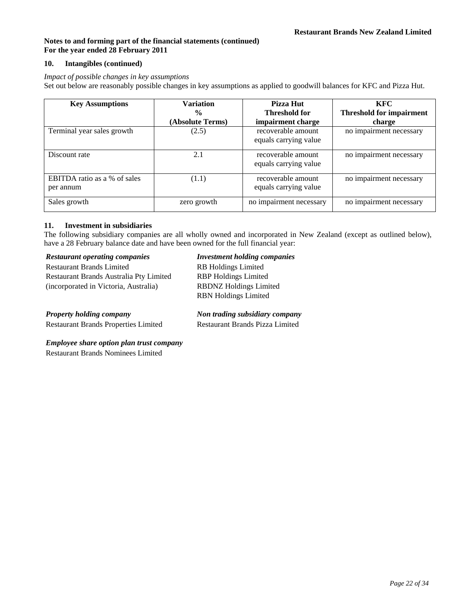# **10. Intangibles (continued)**

# *Impact of possible changes in key assumptions*

Set out below are reasonably possible changes in key assumptions as applied to goodwill balances for KFC and Pizza Hut.

| <b>Key Assumptions</b>                    | <b>Variation</b><br>$\frac{6}{9}$<br>(Absolute Terms) | <b>Pizza Hut</b><br><b>Threshold for</b><br>impairment charge | <b>KFC</b><br><b>Threshold for impairment</b><br>charge |
|-------------------------------------------|-------------------------------------------------------|---------------------------------------------------------------|---------------------------------------------------------|
| Terminal year sales growth                | (2.5)                                                 | recoverable amount<br>equals carrying value                   | no impairment necessary                                 |
| Discount rate                             | 2.1                                                   | recoverable amount<br>equals carrying value                   | no impairment necessary                                 |
| EBITDA ratio as a % of sales<br>per annum | (1.1)                                                 | recoverable amount<br>equals carrying value                   | no impairment necessary                                 |
| Sales growth                              | zero growth                                           | no impairment necessary                                       | no impairment necessary                                 |

# **11. Investment in subsidiaries**

The following subsidiary companies are all wholly owned and incorporated in New Zealand (except as outlined below), have a 28 February balance date and have been owned for the full financial year:

# *Restaurant operating companies Investment holding companies*

Restaurant Brands Limited RB Holdings Limited Restaurant Brands Australia Pty Limited RBP Holdings Limited (incorporated in Victoria, Australia) RBDNZ Holdings Limited

RBN Holdings Limited

Restaurant Brands Properties Limited Restaurant Brands Pizza Limited

*Property holding company Non trading subsidiary company*

# *Employee share option plan trust company*

Restaurant Brands Nominees Limited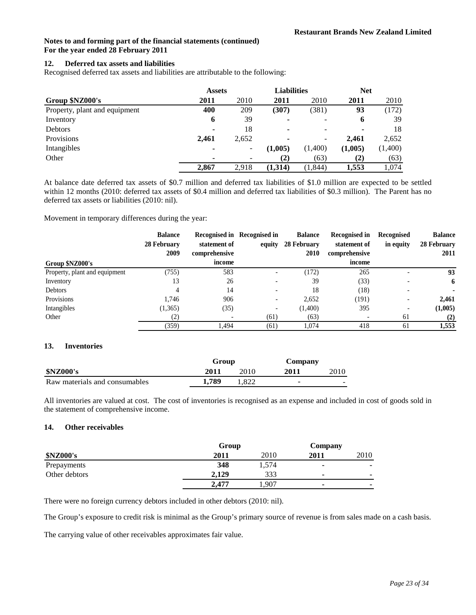# **12. Deferred tax assets and liabilities**

Recognised deferred tax assets and liabilities are attributable to the following:

|                               | <b>Assets</b> |       | <b>Liabilities</b> |          | <b>Net</b>               |         |
|-------------------------------|---------------|-------|--------------------|----------|--------------------------|---------|
| Group \$NZ000's               | 2011          | 2010  | 2011               | 2010     | 2011                     | 2010    |
| Property, plant and equipment | 400           | 209   | (307)              | (381)    | 93                       | (172)   |
| Inventory                     | 6             | 39    |                    | -        | 6                        | 39      |
| Debtors                       | ۰             | 18    |                    |          | $\overline{\phantom{a}}$ | 18      |
| Provisions                    | 2,461         | 2,652 |                    |          | 2,461                    | 2,652   |
| Intangibles                   |               | -     | (1,005)            | (1,400)  | (1,005)                  | (1,400) |
| Other                         | ۰             |       | (2)                | (63)     | $\rm(2)$                 | (63)    |
|                               | 2,867         | 2,918 | (1,314)            | (1, 844) | 1,553                    | 1,074   |

At balance date deferred tax assets of \$0.7 million and deferred tax liabilities of \$1.0 million are expected to be settled within 12 months (2010: deferred tax assets of \$0.4 million and deferred tax liabilities of \$0.3 million). The Parent has no deferred tax assets or liabilities (2010: nil).

Movement in temporary differences during the year:

|                               | <b>Balance</b><br>28 February | statement of  | Recognised in Recognised in | <b>Balance</b><br>equity 28 February | <b>Recognised in</b><br>statement of | Recognised<br>in equity | <b>Balance</b><br>28 February |
|-------------------------------|-------------------------------|---------------|-----------------------------|--------------------------------------|--------------------------------------|-------------------------|-------------------------------|
|                               | 2009                          | comprehensive |                             | 2010                                 | comprehensive                        |                         | 2011                          |
| Group \$NZ000's               |                               | income        |                             |                                      | income                               |                         |                               |
| Property, plant and equipment | (755)                         | 583           |                             | (172)                                | 265                                  |                         | 93                            |
| Inventory                     | 13                            | 26            |                             | 39                                   | (33)                                 |                         | -6                            |
| Debtors                       |                               | 14            |                             | 18                                   | (18)                                 |                         |                               |
| Provisions                    | 1.746                         | 906           | $\overline{\phantom{a}}$    | 2,652                                | (191)                                |                         | 2,461                         |
| Intangibles                   | (1,365)                       | (35)          | $\overline{\phantom{a}}$    | (1,400)                              | 395                                  |                         | (1,005)                       |
| Other                         | (2)                           |               | (61)                        | (63)                                 |                                      | 61                      | (2)                           |
|                               | (359)                         | 1.494         | (61)                        | 1.074                                | 418                                  | 61                      | 1,553                         |

# **13. Inventories**

|                               | Group |       | Company |      |
|-------------------------------|-------|-------|---------|------|
| <b>\$NZ000's</b>              | 2011  | 2010  | 2011    | 2010 |
| Raw materials and consumables | 1.789 | 1.822 | -       |      |

All inventories are valued at cost. The cost of inventories is recognised as an expense and included in cost of goods sold in the statement of comprehensive income.

# **14. Other receivables**

|                  | Group | Company |      |      |
|------------------|-------|---------|------|------|
| <b>\$NZ000's</b> | 2011  | 2010    | 2011 | 2010 |
| Prepayments      | 348   | 1.574   | ۰    |      |
| Other debtors    | 2.129 | 333     | ۰    | -    |
|                  | 2.477 | 1.907   | ۰    | -    |

There were no foreign currency debtors included in other debtors (2010: nil).

The Group's exposure to credit risk is minimal as the Group's primary source of revenue is from sales made on a cash basis.

The carrying value of other receivables approximates fair value.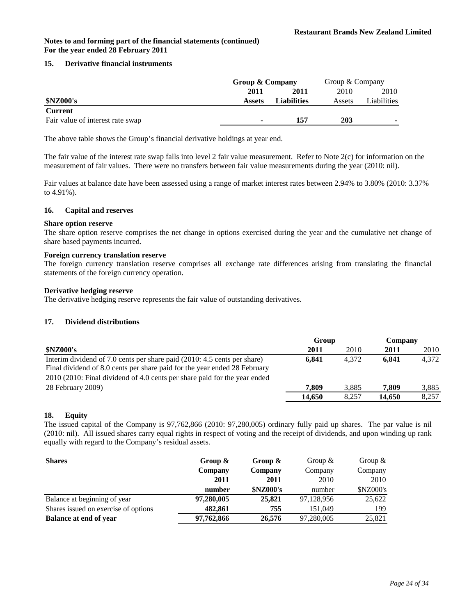# **15. Derivative financial instruments**

|                                  | Group & Company |                    | Group & Company |                          |
|----------------------------------|-----------------|--------------------|-----------------|--------------------------|
|                                  | 2011<br>2011    |                    | 2010            | 2010                     |
| <b>\$NZ000's</b>                 | <b>Assets</b>   | <b>Liabilities</b> | Assets          | Liabilities              |
| <b>Current</b>                   |                 |                    |                 |                          |
| Fair value of interest rate swap | ٠               | 157                | 203             | $\overline{\phantom{a}}$ |

The above table shows the Group's financial derivative holdings at year end.

The fair value of the interest rate swap falls into level 2 fair value measurement. Refer to Note 2(c) for information on the measurement of fair values. There were no transfers between fair value measurements during the year (2010: nil).

Fair values at balance date have been assessed using a range of market interest rates between 2.94% to 3.80% (2010: 3.37% to 4.91%).

# **16. Capital and reserves**

## **Share option reserve**

The share option reserve comprises the net change in options exercised during the year and the cumulative net change of share based payments incurred.

# **Foreign currency translation reserve**

The foreign currency translation reserve comprises all exchange rate differences arising from translating the financial statements of the foreign currency operation.

# **Derivative hedging reserve**

The derivative hedging reserve represents the fair value of outstanding derivatives.

# **17. Dividend distributions**

|                                                                           | Group  |       | Company |       |  |
|---------------------------------------------------------------------------|--------|-------|---------|-------|--|
| <b>\$NZ000's</b>                                                          | 2011   | 2010  | 2011    | 2010  |  |
| Interim dividend of 7.0 cents per share paid (2010: 4.5 cents per share)  | 6.841  | 4.372 | 6.841   | 4.372 |  |
| Final dividend of 8.0 cents per share paid for the year ended 28 February |        |       |         |       |  |
| 2010 (2010: Final dividend of 4.0 cents per share paid for the year ended |        |       |         |       |  |
| 28 February 2009)                                                         | 7.809  | 3.885 | 7.809   | 3.885 |  |
|                                                                           | 14.650 | 8.257 | 14.650  | 8,257 |  |

# **18. Equity**

The issued capital of the Company is 97,762,866 (2010: 97,280,005) ordinary fully paid up shares. The par value is nil (2010: nil). All issued shares carry equal rights in respect of voting and the receipt of dividends, and upon winding up rank equally with regard to the Company's residual assets.

| <b>Shares</b>                        | Group $\&$ | Group &          | Group $\&$ | Group $\&$       |
|--------------------------------------|------------|------------------|------------|------------------|
|                                      | Company    | Company          | Company    | Company          |
|                                      | 2011       | 2011             | 2010       | 2010             |
|                                      | number     | <b>\$NZ000's</b> | number     | <b>\$NZ000's</b> |
| Balance at beginning of year         | 97,280,005 | 25,821           | 97,128,956 | 25,622           |
| Shares issued on exercise of options | 482,861    | 755              | 151.049    | 199              |
| <b>Balance at end of year</b>        | 97,762,866 | 26,576           | 97,280,005 | 25,821           |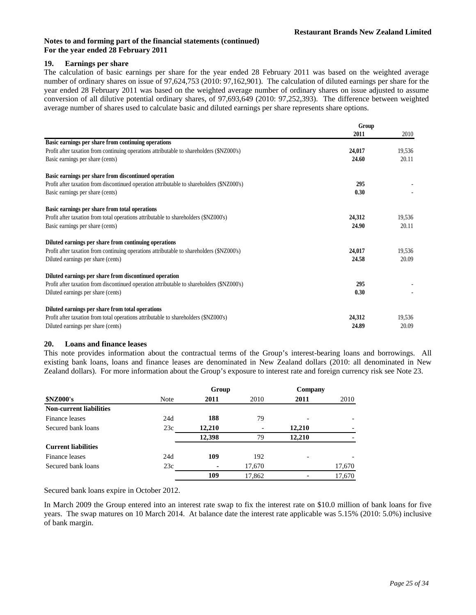# **19. Earnings per share**

The calculation of basic earnings per share for the year ended 28 February 2011 was based on the weighted average number of ordinary shares on issue of 97,624,753 (2010: 97,162,901). The calculation of diluted earnings per share for the year ended 28 February 2011 was based on the weighted average number of ordinary shares on issue adjusted to assume conversion of all dilutive potential ordinary shares, of 97,693,649 (2010: 97,252,393). The difference between weighted average number of shares used to calculate basic and diluted earnings per share represents share options.

|                                                                                            | Group  |        |
|--------------------------------------------------------------------------------------------|--------|--------|
|                                                                                            | 2011   | 2010   |
| Basic earnings per share from continuing operations                                        |        |        |
| Profit after taxation from continuing operations attributable to shareholders (\$NZ000's)  | 24,017 | 19,536 |
| Basic earnings per share (cents)                                                           | 24.60  | 20.11  |
| Basic earnings per share from discontinued operation                                       |        |        |
| Profit after taxation from discontinued operation attributable to shareholders (\$NZ000's) | 295    |        |
| Basic earnings per share (cents)                                                           | 0.30   |        |
| Basic earnings per share from total operations                                             |        |        |
| Profit after taxation from total operations attributable to shareholders (\$NZ000's)       | 24,312 | 19,536 |
| Basic earnings per share (cents)                                                           | 24.90  | 20.11  |
| Diluted earnings per share from continuing operations                                      |        |        |
| Profit after taxation from continuing operations attributable to shareholders (\$NZ000's)  | 24,017 | 19,536 |
| Diluted earnings per share (cents)                                                         | 24.58  | 20.09  |
| Diluted earnings per share from discontinued operation                                     |        |        |
| Profit after taxation from discontinued operation attributable to shareholders (\$NZ000's) | 295    |        |
| Diluted earnings per share (cents)                                                         | 0.30   |        |
| Diluted earnings per share from total operations                                           |        |        |
| Profit after taxation from total operations attributable to shareholders (\$NZ000's)       | 24,312 | 19,536 |
| Diluted earnings per share (cents)                                                         | 24.89  | 20.09  |
|                                                                                            |        |        |

# **20. Loans and finance leases**

This note provides information about the contractual terms of the Group's interest-bearing loans and borrowings. All existing bank loans, loans and finance leases are denominated in New Zealand dollars (2010: all denominated in New Zealand dollars). For more information about the Group's exposure to interest rate and foreign currency risk see Note 23.

|                                |             | Group  |        | Company |        |
|--------------------------------|-------------|--------|--------|---------|--------|
| <b>\$NZ000's</b>               | <b>Note</b> | 2011   | 2010   | 2011    | 2010   |
| <b>Non-current liabilities</b> |             |        |        |         |        |
| Finance leases                 | 24d         | 188    | 79     |         |        |
| Secured bank loans             | 23c         | 12,210 |        | 12,210  |        |
|                                |             | 12,398 | 79     | 12,210  |        |
| <b>Current liabilities</b>     |             |        |        |         |        |
| Finance leases                 | 24d         | 109    | 192    |         |        |
| Secured bank loans             | 23c         |        | 17,670 |         | 17,670 |
|                                |             | 109    | 17,862 |         | 17,670 |

Secured bank loans expire in October 2012.

In March 2009 the Group entered into an interest rate swap to fix the interest rate on \$10.0 million of bank loans for five years. The swap matures on 10 March 2014. At balance date the interest rate applicable was 5.15% (2010: 5.0%) inclusive of bank margin.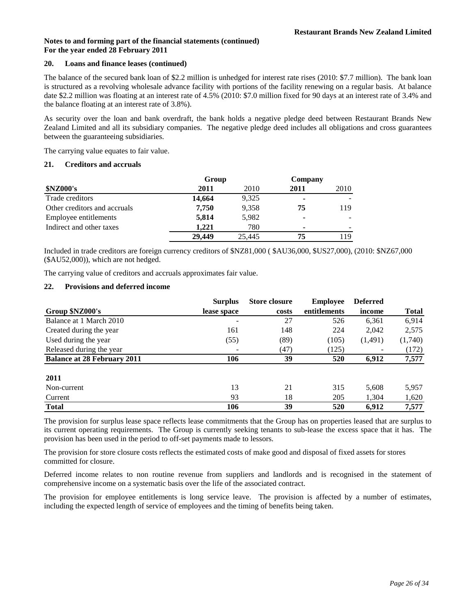# **20. Loans and finance leases (continued)**

The balance of the secured bank loan of \$2.2 million is unhedged for interest rate rises (2010: \$7.7 million). The bank loan is structured as a revolving wholesale advance facility with portions of the facility renewing on a regular basis. At balance date \$2.2 million was floating at an interest rate of 4.5% (2010: \$7.0 million fixed for 90 days at an interest rate of 3.4% and the balance floating at an interest rate of 3.8%).

As security over the loan and bank overdraft, the bank holds a negative pledge deed between Restaurant Brands New Zealand Limited and all its subsidiary companies. The negative pledge deed includes all obligations and cross guarantees between the guaranteeing subsidiaries.

The carrying value equates to fair value.

# **21. Creditors and accruals**

|                              | Group  |        | Company                  |      |
|------------------------------|--------|--------|--------------------------|------|
| <b>\$NZ000's</b>             | 2011   | 2010   | 2011                     | 2010 |
| Trade creditors              | 14,664 | 9,325  | $\overline{\phantom{a}}$ |      |
| Other creditors and accruals | 7.750  | 9,358  | 75                       | 119  |
| Employee entitlements        | 5,814  | 5,982  |                          |      |
| Indirect and other taxes     | 1.221  | 780    | ۰                        |      |
|                              | 29.449 | 25,445 | 75                       | 119  |

Included in trade creditors are foreign currency creditors of \$NZ81,000 ( \$AU36,000, \$US27,000), (2010: \$NZ67,000 (\$AU52,000)), which are not hedged.

The carrying value of creditors and accruals approximates fair value.

## **22. Provisions and deferred income**

|                                    | <b>Surplus</b> | <b>Store closure</b> | <b>Employee</b> | <b>Deferred</b> |              |
|------------------------------------|----------------|----------------------|-----------------|-----------------|--------------|
| Group \$NZ000's                    | lease space    | costs                | entitlements    | income          | <b>Total</b> |
| Balance at 1 March 2010            |                | 27                   | 526             | 6,361           | 6,914        |
| Created during the year            | 161            | 148                  | 224             | 2,042           | 2,575        |
| Used during the year               | (55)           | (89)                 | (105)           | (1,491)         | (1,740)      |
| Released during the year           |                | (47)                 | (125)           |                 | (172)        |
| <b>Balance at 28 February 2011</b> | 106            | 39                   | 520             | 6,912           | 7,577        |
| 2011                               |                |                      |                 |                 |              |
| Non-current                        | 13             | 21                   | 315             | 5,608           | 5,957        |
| Current                            | 93             | 18                   | 205             | 1,304           | 1,620        |
| <b>Total</b>                       | 106            | 39                   | 520             | 6,912           | 7,577        |

The provision for surplus lease space reflects lease commitments that the Group has on properties leased that are surplus to its current operating requirements. The Group is currently seeking tenants to sub-lease the excess space that it has. The provision has been used in the period to off-set payments made to lessors.

The provision for store closure costs reflects the estimated costs of make good and disposal of fixed assets for stores committed for closure.

Deferred income relates to non routine revenue from suppliers and landlords and is recognised in the statement of comprehensive income on a systematic basis over the life of the associated contract.

The provision for employee entitlements is long service leave. The provision is affected by a number of estimates, including the expected length of service of employees and the timing of benefits being taken.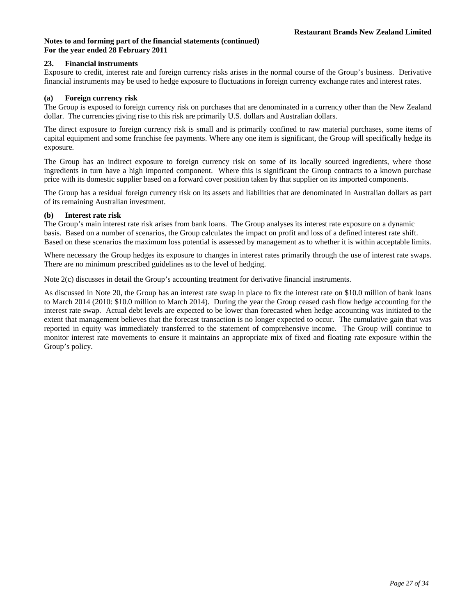# **23. Financial instruments**

Exposure to credit, interest rate and foreign currency risks arises in the normal course of the Group's business. Derivative financial instruments may be used to hedge exposure to fluctuations in foreign currency exchange rates and interest rates.

# **(a) Foreign currency risk**

The Group is exposed to foreign currency risk on purchases that are denominated in a currency other than the New Zealand dollar. The currencies giving rise to this risk are primarily U.S. dollars and Australian dollars.

The direct exposure to foreign currency risk is small and is primarily confined to raw material purchases, some items of capital equipment and some franchise fee payments. Where any one item is significant, the Group will specifically hedge its exposure.

The Group has an indirect exposure to foreign currency risk on some of its locally sourced ingredients, where those ingredients in turn have a high imported component. Where this is significant the Group contracts to a known purchase price with its domestic supplier based on a forward cover position taken by that supplier on its imported components.

The Group has a residual foreign currency risk on its assets and liabilities that are denominated in Australian dollars as part of its remaining Australian investment.

# **(b) Interest rate risk**

The Group's main interest rate risk arises from bank loans. The Group analyses its interest rate exposure on a dynamic basis. Based on a number of scenarios, the Group calculates the impact on profit and loss of a defined interest rate shift. Based on these scenarios the maximum loss potential is assessed by management as to whether it is within acceptable limits.

Where necessary the Group hedges its exposure to changes in interest rates primarily through the use of interest rate swaps. There are no minimum prescribed guidelines as to the level of hedging.

Note 2(c) discusses in detail the Group's accounting treatment for derivative financial instruments.

As discussed in Note 20, the Group has an interest rate swap in place to fix the interest rate on \$10.0 million of bank loans to March 2014 (2010: \$10.0 million to March 2014). During the year the Group ceased cash flow hedge accounting for the interest rate swap. Actual debt levels are expected to be lower than forecasted when hedge accounting was initiated to the extent that management believes that the forecast transaction is no longer expected to occur. The cumulative gain that was reported in equity was immediately transferred to the statement of comprehensive income. The Group will continue to monitor interest rate movements to ensure it maintains an appropriate mix of fixed and floating rate exposure within the Group's policy.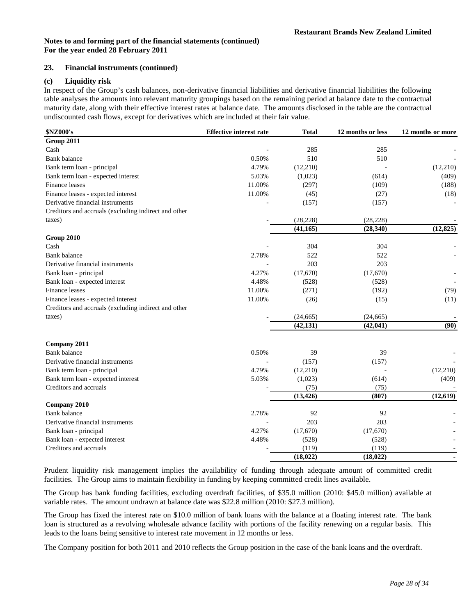# **23. Financial instruments (continued)**

# **(c) Liquidity risk**

In respect of the Group's cash balances, non-derivative financial liabilities and derivative financial liabilities the following table analyses the amounts into relevant maturity groupings based on the remaining period at balance date to the contractual maturity date, along with their effective interest rates at balance date. The amounts disclosed in the table are the contractual undiscounted cash flows, except for derivatives which are included at their fair value.

| <b>\$NZ000's</b>                                     | <b>Effective interest rate</b> | <b>Total</b> | 12 months or less | 12 months or more |
|------------------------------------------------------|--------------------------------|--------------|-------------------|-------------------|
| Group 2011                                           |                                |              |                   |                   |
| Cash                                                 |                                | 285          | 285               |                   |
| <b>Bank</b> balance                                  | 0.50%                          | 510          | 510               |                   |
| Bank term loan - principal                           | 4.79%                          | (12,210)     |                   | (12,210)          |
| Bank term loan - expected interest                   | 5.03%                          | (1,023)      | (614)             | (409)             |
| <b>Finance leases</b>                                | 11.00%                         | (297)        | (109)             | (188)             |
| Finance leases - expected interest                   | 11.00%                         | (45)         | (27)              | (18)              |
| Derivative financial instruments                     |                                | (157)        | (157)             |                   |
| Creditors and accruals (excluding indirect and other |                                |              |                   |                   |
| taxes)                                               |                                | (28, 228)    | (28, 228)         |                   |
|                                                      |                                | (41, 165)    | (28, 340)         | (12, 825)         |
| Group 2010                                           |                                |              |                   |                   |
| Cash                                                 |                                | 304          | 304               |                   |
| <b>Bank</b> balance                                  | 2.78%                          | 522          | 522               |                   |
| Derivative financial instruments                     |                                | 203          | 203               |                   |
| Bank loan - principal                                | 4.27%                          | (17,670)     | (17,670)          |                   |
| Bank loan - expected interest                        | 4.48%                          | (528)        | (528)             |                   |
| <b>Finance leases</b>                                | 11.00%                         | (271)        | (192)             | (79)              |
| Finance leases - expected interest                   | 11.00%                         | (26)         | (15)              | (11)              |
| Creditors and accruals (excluding indirect and other |                                |              |                   |                   |
| taxes)                                               |                                | (24, 665)    | (24, 665)         |                   |
|                                                      |                                | (42, 131)    | (42, 041)         | (90)              |
|                                                      |                                |              |                   |                   |
| Company 2011                                         |                                |              |                   |                   |
| <b>Bank</b> balance                                  | 0.50%                          | 39           | 39                |                   |
| Derivative financial instruments                     |                                | (157)        | (157)             |                   |
| Bank term loan - principal                           | 4.79%                          | (12,210)     |                   | (12,210)          |
| Bank term loan - expected interest                   | 5.03%                          | (1,023)      | (614)             | (409)             |
| Creditors and accruals                               |                                | (75)         | (75)              |                   |
|                                                      |                                | (13, 426)    | (807)             | (12, 619)         |
| Company 2010                                         |                                |              |                   |                   |
| <b>Bank</b> balance                                  | 2.78%                          | 92           | 92                |                   |
| Derivative financial instruments                     |                                | 203          | 203               |                   |
| Bank loan - principal                                | 4.27%                          | (17,670)     | (17,670)          |                   |
| Bank loan - expected interest                        | 4.48%                          | (528)        | (528)             |                   |
| Creditors and accruals                               |                                | (119)        | (119)             |                   |
|                                                      |                                | (18, 022)    | (18, 022)         |                   |

Prudent liquidity risk management implies the availability of funding through adequate amount of committed credit facilities. The Group aims to maintain flexibility in funding by keeping committed credit lines available.

The Group has bank funding facilities, excluding overdraft facilities, of \$35.0 million (2010: \$45.0 million) available at variable rates. The amount undrawn at balance date was \$22.8 million (2010: \$27.3 million).

The Group has fixed the interest rate on \$10.0 million of bank loans with the balance at a floating interest rate. The bank loan is structured as a revolving wholesale advance facility with portions of the facility renewing on a regular basis. This leads to the loans being sensitive to interest rate movement in 12 months or less.

The Company position for both 2011 and 2010 reflects the Group position in the case of the bank loans and the overdraft.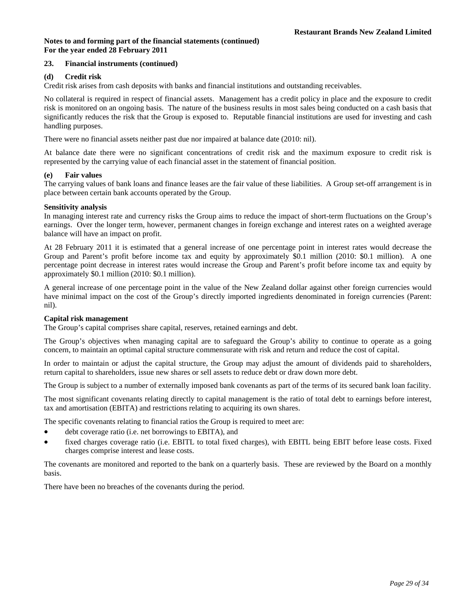# **23. Financial instruments (continued)**

# **(d) Credit risk**

Credit risk arises from cash deposits with banks and financial institutions and outstanding receivables.

No collateral is required in respect of financial assets. Management has a credit policy in place and the exposure to credit risk is monitored on an ongoing basis. The nature of the business results in most sales being conducted on a cash basis that significantly reduces the risk that the Group is exposed to. Reputable financial institutions are used for investing and cash handling purposes.

There were no financial assets neither past due nor impaired at balance date (2010: nil).

At balance date there were no significant concentrations of credit risk and the maximum exposure to credit risk is represented by the carrying value of each financial asset in the statement of financial position.

# **(e) Fair values**

The carrying values of bank loans and finance leases are the fair value of these liabilities. A Group set-off arrangement is in place between certain bank accounts operated by the Group.

# **Sensitivity analysis**

In managing interest rate and currency risks the Group aims to reduce the impact of short-term fluctuations on the Group's earnings. Over the longer term, however, permanent changes in foreign exchange and interest rates on a weighted average balance will have an impact on profit.

At 28 February 2011 it is estimated that a general increase of one percentage point in interest rates would decrease the Group and Parent's profit before income tax and equity by approximately \$0.1 million (2010: \$0.1 million). A one percentage point decrease in interest rates would increase the Group and Parent's profit before income tax and equity by approximately \$0.1 million (2010: \$0.1 million).

A general increase of one percentage point in the value of the New Zealand dollar against other foreign currencies would have minimal impact on the cost of the Group's directly imported ingredients denominated in foreign currencies (Parent: nil).

# **Capital risk management**

The Group's capital comprises share capital, reserves, retained earnings and debt.

The Group's objectives when managing capital are to safeguard the Group's ability to continue to operate as a going concern, to maintain an optimal capital structure commensurate with risk and return and reduce the cost of capital.

In order to maintain or adjust the capital structure, the Group may adjust the amount of dividends paid to shareholders, return capital to shareholders, issue new shares or sell assets to reduce debt or draw down more debt.

The Group is subject to a number of externally imposed bank covenants as part of the terms of its secured bank loan facility.

The most significant covenants relating directly to capital management is the ratio of total debt to earnings before interest, tax and amortisation (EBITA) and restrictions relating to acquiring its own shares.

The specific covenants relating to financial ratios the Group is required to meet are:

- debt coverage ratio (i.e. net borrowings to EBITA), and
- fixed charges coverage ratio (i.e. EBITL to total fixed charges), with EBITL being EBIT before lease costs. Fixed charges comprise interest and lease costs.

The covenants are monitored and reported to the bank on a quarterly basis. These are reviewed by the Board on a monthly basis.

There have been no breaches of the covenants during the period.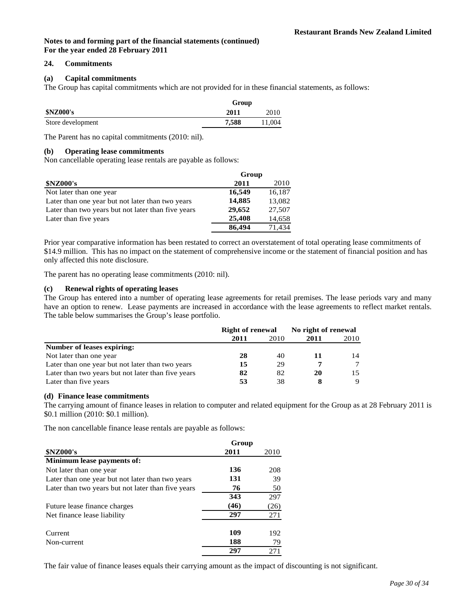# **24. Commitments**

# **(a) Capital commitments**

The Group has capital commitments which are not provided for in these financial statements, as follows:

|                   | Group |        |
|-------------------|-------|--------|
| <b>\$NZ000's</b>  | 2011  | 2010   |
| Store development | 7.588 | 11.004 |

The Parent has no capital commitments (2010: nil).

# **(b) Operating lease commitments**

Non cancellable operating lease rentals are payable as follows:

|                                                    | Group  |        |
|----------------------------------------------------|--------|--------|
| <b>\$NZ000's</b>                                   | 2011   | 2010   |
| Not later than one year                            | 16,549 | 16,187 |
| Later than one year but not later than two years   | 14,885 | 13,082 |
| Later than two years but not later than five years | 29,652 | 27,507 |
| Later than five years                              | 25,408 | 14,658 |
|                                                    | 86,494 | 71.434 |

Prior year comparative information has been restated to correct an overstatement of total operating lease commitments of \$14.9 million. This has no impact on the statement of comprehensive income or the statement of financial position and has only affected this note disclosure.

The parent has no operating lease commitments (2010: nil).

**(c) Renewal rights of operating leases** The Group has entered into a number of operating lease agreements for retail premises. The lease periods vary and many have an option to renew. Lease payments are increased in accordance with the lease agreements to reflect market rentals. The table below summarises the Group's lease portfolio.

|                                                    | <b>Right of renewal</b> |      | No right of renewal |      |
|----------------------------------------------------|-------------------------|------|---------------------|------|
|                                                    | 2011                    | 2010 | 2011                | 2010 |
| Number of leases expiring:                         |                         |      |                     |      |
| Not later than one year                            | 28                      | 40   |                     | 14   |
| Later than one year but not later than two years   | 15                      | 29   |                     |      |
| Later than two years but not later than five years | 82                      | 82   | 20                  | 15   |
| Later than five years                              | 53                      | 38   |                     | 9    |

# **(d) Finance lease commitments**

The carrying amount of finance leases in relation to computer and related equipment for the Group as at 28 February 2011 is \$0.1 million (2010: \$0.1 million).

The non cancellable finance lease rentals are payable as follows:

|                                                    | Group |      |  |
|----------------------------------------------------|-------|------|--|
| <b>\$NZ000's</b>                                   | 2011  | 2010 |  |
| Minimum lease payments of:                         |       |      |  |
| Not later than one year                            | 136   | 208  |  |
| Later than one year but not later than two years   | 131   | 39   |  |
| Later than two years but not later than five years | 76    | 50   |  |
|                                                    | 343   | 297  |  |
| Future lease finance charges                       | (46)  | (26) |  |
| Net finance lease liability                        | 297   | 271  |  |
| Current                                            | 109   | 192  |  |
| Non-current                                        | 188   | 79   |  |
|                                                    | 297   | 271  |  |

The fair value of finance leases equals their carrying amount as the impact of discounting is not significant.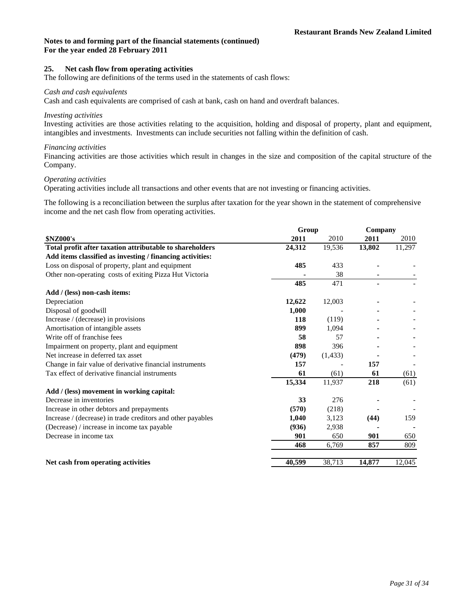# **25. Net cash flow from operating activities**

The following are definitions of the terms used in the statements of cash flows:

# *Cash and cash equivalents*

Cash and cash equivalents are comprised of cash at bank, cash on hand and overdraft balances.

# *Investing activities*

Investing activities are those activities relating to the acquisition, holding and disposal of property, plant and equipment, intangibles and investments. Investments can include securities not falling within the definition of cash.

## *Financing activities*

Financing activities are those activities which result in changes in the size and composition of the capital structure of the Company.

# *Operating activities*

Operating activities include all transactions and other events that are not investing or financing activities.

The following is a reconciliation between the surplus after taxation for the year shown in the statement of comprehensive income and the net cash flow from operating activities.

|                                                             | Group  | Company  |        |        |
|-------------------------------------------------------------|--------|----------|--------|--------|
| <b>\$NZ000's</b>                                            | 2011   | 2010     | 2011   | 2010   |
| Total profit after taxation attributable to shareholders    | 24,312 | 19,536   | 13,802 | 11,297 |
| Add items classified as investing / financing activities:   |        |          |        |        |
| Loss on disposal of property, plant and equipment           | 485    | 433      |        |        |
| Other non-operating costs of exiting Pizza Hut Victoria     |        | 38       |        |        |
|                                                             | 485    | 471      |        |        |
| Add / (less) non-cash items:                                |        |          |        |        |
| Depreciation                                                | 12,622 | 12,003   |        |        |
| Disposal of goodwill                                        | 1,000  |          |        |        |
| Increase / (decrease) in provisions                         | 118    | (119)    |        |        |
| Amortisation of intangible assets                           | 899    | 1,094    |        |        |
| Write off of franchise fees                                 | 58     | 57       |        |        |
| Impairment on property, plant and equipment                 | 898    | 396      |        |        |
| Net increase in deferred tax asset                          | (479)  | (1, 433) |        |        |
| Change in fair value of derivative financial instruments    | 157    |          | 157    |        |
| Tax effect of derivative financial instruments              | 61     | (61)     | 61     | (61)   |
|                                                             | 15,334 | 11,937   | 218    | (61)   |
| Add / (less) movement in working capital:                   |        |          |        |        |
| Decrease in inventories                                     | 33     | 276      |        |        |
| Increase in other debtors and prepayments                   | (570)  | (218)    |        |        |
| Increase / (decrease) in trade creditors and other payables | 1,040  | 3,123    | (44)   | 159    |
| (Decrease) / increase in income tax payable                 | (936)  | 2,938    |        |        |
| Decrease in income tax                                      | 901    | 650      | 901    | 650    |
|                                                             | 468    | 6,769    | 857    | 809    |
| Net cash from operating activities                          | 40,599 | 38,713   | 14,877 | 12,045 |
|                                                             |        |          |        |        |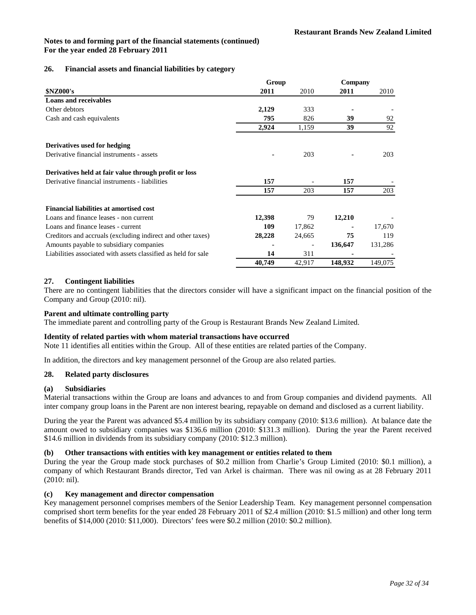# **26. Financial assets and financial liabilities by category**

|                                                                | Group  |                          | Company |         |
|----------------------------------------------------------------|--------|--------------------------|---------|---------|
| <b>\$NZ000's</b>                                               | 2011   | 2010                     | 2011    | 2010    |
| <b>Loans and receivables</b>                                   |        |                          |         |         |
| Other debtors                                                  | 2,129  | 333                      |         |         |
| Cash and cash equivalents                                      | 795    | 826                      | 39      | 92      |
|                                                                | 2,924  | 1,159                    | 39      | 92      |
| Derivatives used for hedging                                   |        |                          |         |         |
| Derivative financial instruments - assets                      |        | 203                      |         | 203     |
| Derivatives held at fair value through profit or loss          |        |                          |         |         |
| Derivative financial instruments - liabilities                 | 157    |                          | 157     |         |
|                                                                | 157    | 203                      | 157     | 203     |
| <b>Financial liabilities at amortised cost</b>                 |        |                          |         |         |
| Loans and finance leases - non current                         | 12,398 | 79                       | 12,210  |         |
| Loans and finance leases - current                             | 109    | 17,862                   |         | 17,670  |
| Creditors and accruals (excluding indirect and other taxes)    | 28,228 | 24,665                   | 75      | 119     |
| Amounts payable to subsidiary companies                        |        | $\overline{\phantom{a}}$ | 136,647 | 131,286 |
| Liabilities associated with assets classified as held for sale | 14     | 311                      |         |         |
|                                                                | 40,749 | 42,917                   | 148,932 | 149,075 |

# **27. Contingent liabilities**

There are no contingent liabilities that the directors consider will have a significant impact on the financial position of the Company and Group (2010: nil).

# **Parent and ultimate controlling party**

The immediate parent and controlling party of the Group is Restaurant Brands New Zealand Limited.

# **Identity of related parties with whom material transactions have occurred**

Note 11 identifies all entities within the Group. All of these entities are related parties of the Company.

In addition, the directors and key management personnel of the Group are also related parties.

# **28. Related party disclosures**

# **(a) Subsidiaries**

Material transactions within the Group are loans and advances to and from Group companies and dividend payments. All inter company group loans in the Parent are non interest bearing, repayable on demand and disclosed as a current liability.

During the year the Parent was advanced \$5.4 million by its subsidiary company (2010: \$13.6 million). At balance date the amount owed to subsidiary companies was \$136.6 million (2010: \$131.3 million). During the year the Parent received \$14.6 million in dividends from its subsidiary company (2010: \$12.3 million).

# **(b) Other transactions with entities with key management or entities related to them**

During the year the Group made stock purchases of \$0.2 million from Charlie's Group Limited (2010: \$0.1 million), a company of which Restaurant Brands director, Ted van Arkel is chairman. There was nil owing as at 28 February 2011 (2010: nil).

# **(c) Key management and director compensation**

Key management personnel comprises members of the Senior Leadership Team. Key management personnel compensation comprised short term benefits for the year ended 28 February 2011 of \$2.4 million (2010: \$1.5 million) and other long term benefits of \$14,000 (2010: \$11,000). Directors' fees were \$0.2 million (2010: \$0.2 million).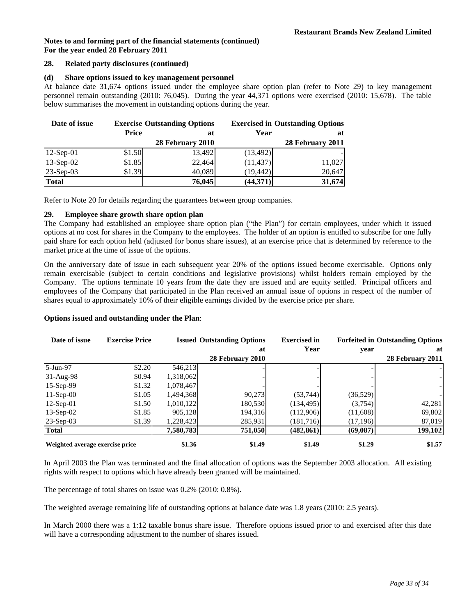# **28. Related party disclosures (continued)**

# **(d) Share options issued to key management personnel**

At balance date 31,674 options issued under the employee share option plan (refer to Note 29) to key management personnel remain outstanding (2010: 76,045). During the year 44,371 options were exercised (2010: 15,678). The table below summarises the movement in outstanding options during the year.

| Date of issue |              | <b>Exercise Outstanding Options</b> |           | <b>Exercised in Outstanding Options</b> |
|---------------|--------------|-------------------------------------|-----------|-----------------------------------------|
|               | <b>Price</b> | at                                  | Year      | at                                      |
|               |              | 28 February 2010                    |           | 28 February 2011                        |
| $12$ -Sep-01  | \$1.50       | 13,492                              | (13, 492) |                                         |
| $13-Sep-02$   | \$1.85       | 22,464                              | (11, 437) | 11,027                                  |
| $23-Sep-03$   | \$1.39       | 40,089                              | (19, 442) | 20,647                                  |
| <b>Total</b>  |              | 76,045                              | (44,371)  | 31,674                                  |

Refer to Note 20 for details regarding the guarantees between group companies.

# **29. Employee share growth share option plan**

The Company had established an employee share option plan ("the Plan") for certain employees, under which it issued options at no cost for shares in the Company to the employees. The holder of an option is entitled to subscribe for one fully paid share for each option held (adjusted for bonus share issues), at an exercise price that is determined by reference to the market price at the time of issue of the options.

On the anniversary date of issue in each subsequent year 20% of the options issued become exercisable. Options only remain exercisable (subject to certain conditions and legislative provisions) whilst holders remain employed by the Company. The options terminate 10 years from the date they are issued and are equity settled. Principal officers and employees of the Company that participated in the Plan received an annual issue of options in respect of the number of shares equal to approximately 10% of their eligible earnings divided by the exercise price per share.

# **Options issued and outstanding under the Plan**:

| Date of issue                   | <b>Exercise Price</b> | <b>Issued Outstanding Options</b> |                  | <b>Exercised in</b> | <b>Forfeited in Outstanding Options</b> |                  |
|---------------------------------|-----------------------|-----------------------------------|------------------|---------------------|-----------------------------------------|------------------|
|                                 |                       |                                   | at               | Year                | year                                    | at               |
|                                 |                       |                                   | 28 February 2010 |                     |                                         | 28 February 2011 |
| 5-Jun-97                        | \$2.20                | 546,213                           |                  |                     |                                         |                  |
| $31-Aug-98$                     | \$0.94                | 1,318,062                         |                  |                     |                                         |                  |
| 15-Sep-99                       | \$1.32                | 1,078,467                         |                  |                     |                                         |                  |
| $11-Sep-00$                     | \$1.05                | 1,494,368                         | 90,273           | (53,744)            | (36,529)                                |                  |
| $12$ -Sep-01                    | \$1.50                | 1,010,122                         | 180,530          | (134, 495)          | (3,754)                                 | 42,281           |
| $13-Sep-02$                     | \$1.85                | 905,128                           | 194,316          | (112,906)           | (11,608)                                | 69,802           |
| $23-Sep-03$                     | \$1.39                | 1,228,423                         | 285,931          | (181, 716)          | (17,196)                                | 87,019           |
| <b>Total</b>                    |                       | 7,580,783                         | 751,050          | (482, 861)          | (69,087)                                | 199,102          |
| Weighted average exercise price |                       | \$1.36                            | \$1.49           | \$1.49              | \$1.29                                  | \$1.57           |

In April 2003 the Plan was terminated and the final allocation of options was the September 2003 allocation. All existing rights with respect to options which have already been granted will be maintained.

The percentage of total shares on issue was 0.2% (2010: 0.8%).

The weighted average remaining life of outstanding options at balance date was 1.8 years (2010: 2.5 years).

In March 2000 there was a 1:12 taxable bonus share issue. Therefore options issued prior to and exercised after this date will have a corresponding adjustment to the number of shares issued.